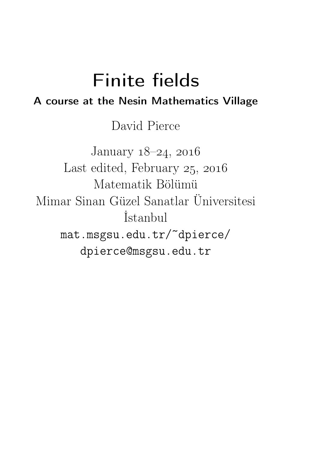# Finite fields A course at the Nesin Mathematics Village

David Pierce

January  $18-24$ ,  $2016$ Last edited, February  $25, 2016$ Matematik Bölümü Mimar Sinan Güzel Sanatlar Üniversitesi İstanbul mat.msgsu.edu.tr/~dpierce/ dpierce@msgsu.edu.tr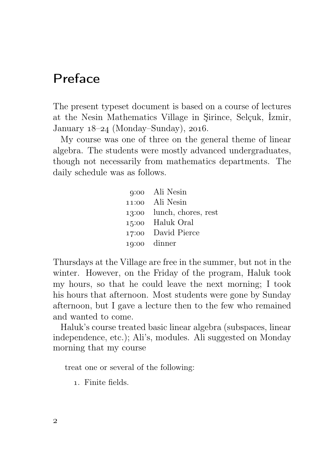# Preface

The present typeset document is based on a course of lectures at the Nesin Mathematics Village in Şirince, Selçuk, İzmir, January  $18-24$  (Monday–Sunday),  $2016$ .

My course was one of three on the general theme of linear algebra. The students were mostly advanced undergraduates, though not necessarily from mathematics departments. The daily schedule was as follows.

> : Ali Nesin : Ali Nesin : lunch, chores, rest : Haluk Oral : David Pierce : dinner

Thursdays at the Village are free in the summer, but not in the winter. However, on the Friday of the program, Haluk took my hours, so that he could leave the next morning; I took his hours that afternoon. Most students were gone by Sunday afternoon, but I gave a lecture then to the few who remained and wanted to come.

Haluk's course treated basic linear algebra (subspaces, linear independence, etc.); Ali's, modules. Ali suggested on Monday morning that my course

treat one or several of the following:

. Finite fields.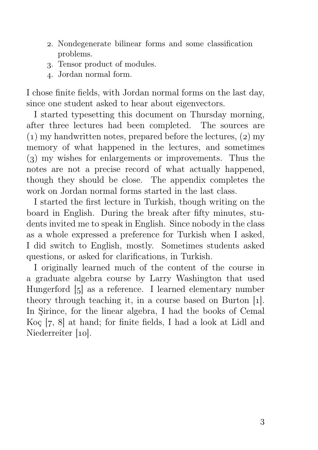- . Nondegenerate bilinear forms and some classification problems.
- . Tensor product of modules.
- . Jordan normal form.

I chose finite fields, with Jordan normal forms on the last day, since one student asked to hear about eigenvectors.

I started typesetting this document on Thursday morning, after three lectures had been completed. The sources are  $(1)$  my handwritten notes, prepared before the lectures,  $(2)$  my memory of what happened in the lectures, and sometimes  $(3)$  my wishes for enlargements or improvements. Thus the notes are not a precise record of what actually happened, though they should be close. The appendix completes the work on Jordan normal forms started in the last class.

I started the first lecture in Turkish, though writing on the board in English. During the break after fifty minutes, students invited me to speak in English. Since nobody in the class as a whole expressed a preference for Turkish when I asked, I did switch to English, mostly. Sometimes students asked questions, or asked for clarifications, in Turkish.

I originally learned much of the content of the course in a graduate algebra course by Larry Washington that used Hungerford [5] as a reference. I learned elementary number theory through teaching it, in a course based on Burton [1]. In Şirince, for the linear algebra, I had the books of Cemal Koç  $[7, 8]$  at hand; for finite fields, I had a look at Lidl and Niederreiter  $[10]$ .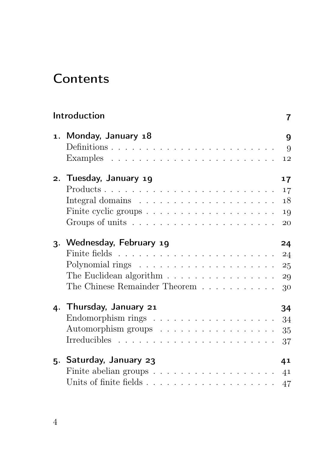# **Contents**

| Introduction                                                           | 7  |
|------------------------------------------------------------------------|----|
| 1. Monday, January 18                                                  | 9  |
|                                                                        | 9  |
|                                                                        | 12 |
| 2. Tuesday, January 19                                                 | 17 |
|                                                                        | 17 |
|                                                                        | 18 |
|                                                                        | 19 |
| Groups of units $\dots \dots \dots \dots \dots \dots \dots \dots$      | 20 |
| 3. Wednesday, February 19                                              | 24 |
|                                                                        | 24 |
| Polynomial rings $\ldots \ldots \ldots \ldots \ldots \ldots \ldots 25$ |    |
| The Euclidean algorithm $\ldots \ldots \ldots \ldots \ldots$           | 29 |
| The Chinese Remainder Theorem $\ldots \ldots \ldots$                   | 30 |
| 4. Thursday, January 21                                                | 34 |
| Endomorphism rings $\ldots \ldots \ldots \ldots \ldots \ldots$         | 34 |
| Automorphism groups $\dots \dots \dots \dots \dots \dots$              | 35 |
|                                                                        | 37 |
|                                                                        |    |
| 5. Saturday, January 23                                                | 41 |
|                                                                        | 41 |
|                                                                        | 47 |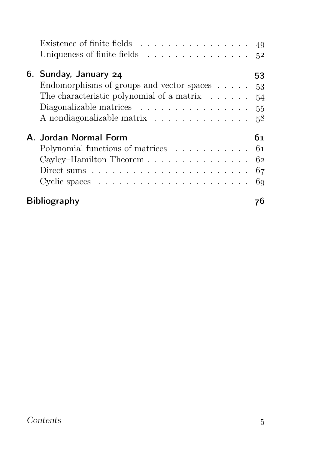| Existence of finite fields $\dots \dots \dots \dots \dots \dots \dots$ 49       |    |
|---------------------------------------------------------------------------------|----|
| Uniqueness of finite fields $\ldots \ldots \ldots \ldots \ldots 52$             |    |
| 6. Sunday, January 24<br>53                                                     |    |
| Endomorphisms of groups and vector spaces $\ldots$ $\ldots$ 53                  |    |
| The characteristic polynomial of a matrix $\dots \dots$ 54                      |    |
| Diagonalizable matrices $\ldots \ldots \ldots \ldots \ldots 55$                 |    |
| A nondiagonalizable matrix 58                                                   |    |
| A. Jordan Normal Form<br>61                                                     |    |
| Polynomial functions of matrices $\ldots \ldots \ldots \ldots 61$               |    |
| Cayley-Hamilton Theorem 62                                                      |    |
| Direct sums $\ldots \ldots \ldots \ldots \ldots \ldots \ldots \ldots \ldots 67$ |    |
| Cyclic spaces $\ldots \ldots \ldots \ldots \ldots \ldots \ldots \ldots$ 69      |    |
| <b>Bibliography</b>                                                             | 70 |

## Contents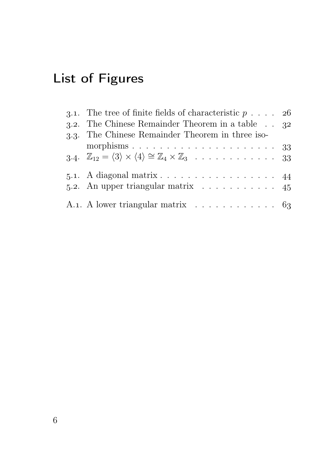# List of Figures

| 3.1. The tree of finite fields of characteristic $p \ldots$ 26                                                                                    |  |
|---------------------------------------------------------------------------------------------------------------------------------------------------|--|
| 3.2. The Chinese Remainder Theorem in a table $\therefore$ 32                                                                                     |  |
| 3.3. The Chinese Remainder Theorem in three iso-                                                                                                  |  |
|                                                                                                                                                   |  |
| 3.4. $\mathbb{Z}_{12} = \langle 3 \rangle \times \langle 4 \rangle \cong \mathbb{Z}_4 \times \mathbb{Z}_3 \dots \dots \dots \dots \dots \dots$ 33 |  |
| 5.1. A diagonal matrix $\ldots \ldots \ldots \ldots \ldots \ldots$ 44                                                                             |  |
| 5.2. An upper triangular matrix $\ldots \ldots \ldots \ldots$ 45                                                                                  |  |
| A.1. A lower triangular matrix $\dots \dots \dots \dots \dots \dots$ 63                                                                           |  |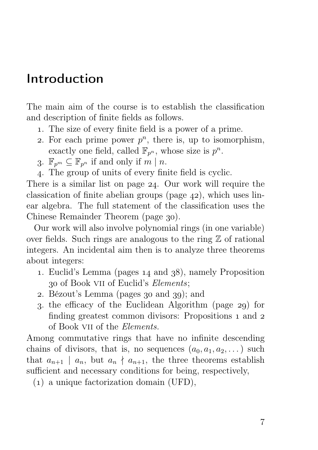# Introduction

The main aim of the course is to establish the classification and description of finite fields as follows.

- . The size of every finite field is a power of a prime.
- 2. For each prime power  $p^n$ , there is, up to isomorphism, exactly one field, called  $\mathbb{F}_{p^n}$ , whose size is  $p^n$ .
- 3.  $\mathbb{F}_{n^m} \subset \mathbb{F}_{n^n}$  if and only if  $m \mid n$ .
- . The group of units of every finite field is cyclic.

There is a similar list on page  $24$ . Our work will require the classication of finite abelian groups (page  $42$ ), which uses linear algebra. The full statement of the classification uses the Chinese Remainder Theorem (page 30).

Our work will also involve polynomial rings (in one variable) over fields. Such rings are analogous to the ring  $\mathbb Z$  of rational integers. An incidental aim then is to analyze three theorems about integers:

- 1. Euclid's Lemma (pages  $14$  and  $38$ ), namely Proposition of Book vii of Euclid's Elements;
- 2. Bézout's Lemma (pages  $30$  and  $39$ ); and
- 3. the efficacy of the Euclidean Algorithm (page 29) for finding greatest common divisors: Propositions 1 and 2 of Book vii of the Elements.

Among commutative rings that have no infinite descending chains of divisors, that is, no sequences  $(a_0, a_1, a_2, \dots)$  such that  $a_{n+1}$  |  $a_n$ , but  $a_n \nmid a_{n+1}$ , the three theorems establish sufficient and necessary conditions for being, respectively,

() a unique factorization domain (UFD),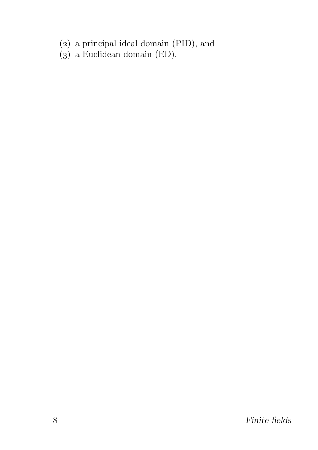- (2) a principal ideal domain (PID), and
- $(3)$  a Euclidean domain (ED).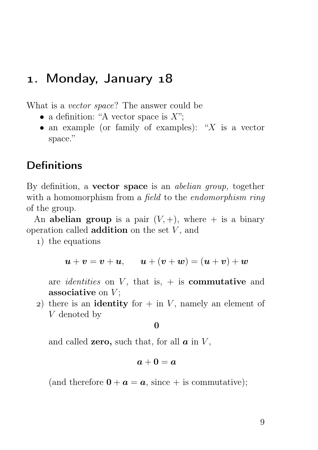## 1. Monday, January 18

What is a vector space? The answer could be

- a definition: "A vector space is  $X$ ";
- an example (or family of examples): " $X$  is a vector space."

## **Definitions**

By definition, a **vector space** is an *abelian group*, together with a homomorphism from a *field* to the *endomorphism ring* of the group.

An abelian group is a pair  $(V, +)$ , where  $+$  is a binary operation called **addition** on the set  $V$ , and

) the equations

$$
\boldsymbol{u} + \boldsymbol{v} = \boldsymbol{v} + \boldsymbol{u}, \qquad \boldsymbol{u} + (\boldsymbol{v} + \boldsymbol{w}) = (\boldsymbol{u} + \boldsymbol{v}) + \boldsymbol{w}
$$

are *identities* on  $V$ , that is,  $+$  is **commutative** and associative on  $V$ ;

2) there is an **identity** for  $+$  in V, namely an element of V denoted by

 $\Omega$ 

and called **zero**, such that, for all  $\boldsymbol{a}$  in  $V$ ,

$$
\bm{a}+\bm{0}=\bm{a}
$$

(and therefore  $\mathbf{0} + \mathbf{a} = \mathbf{a}$ , since  $+$  is commutative);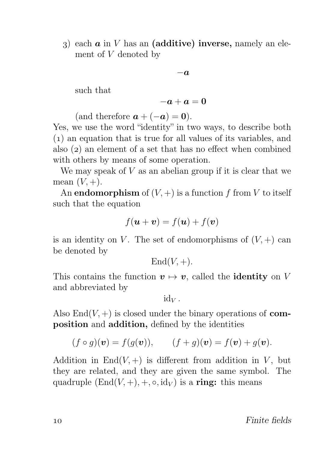3) each  $\boldsymbol{a}$  in V has an (additive) inverse, namely an element of V denoted by

$$
-\boldsymbol{a}
$$

such that

$$
-\boldsymbol{a}+\boldsymbol{a}=\boldsymbol{0}
$$

(and therefore  $a + (-a) = 0$ ).

Yes, we use the word "identity" in two ways, to describe both () an equation that is true for all values of its variables, and also  $(z)$  an element of a set that has no effect when combined with others by means of some operation.

We may speak of  $V$  as an abelian group if it is clear that we mean  $(V, +)$ .

An **endomorphism** of  $(V,+)$  is a function f from V to itself such that the equation

$$
f(\boldsymbol{u} + \boldsymbol{v}) = f(\boldsymbol{u}) + f(\boldsymbol{v})
$$

is an identity on V. The set of endomorphisms of  $(V,+)$  can be denoted by

 $\text{End}(V, +).$ 

This contains the function  $v \mapsto v$ , called the **identity** on V and abbreviated by

 $\mathrm{id}_V$ .

Also  $\text{End}(V,+)$  is closed under the binary operations of **com**position and addition, defined by the identities

$$
(f \circ g)(\mathbf{v}) = f(g(\mathbf{v})), \qquad (f+g)(\mathbf{v}) = f(\mathbf{v}) + g(\mathbf{v}).
$$

Addition in  $\text{End}(V, +)$  is different from addition in V, but they are related, and they are given the same symbol. The quadruple  $(End(V, +), +, \circ, id_V)$  is a ring: this means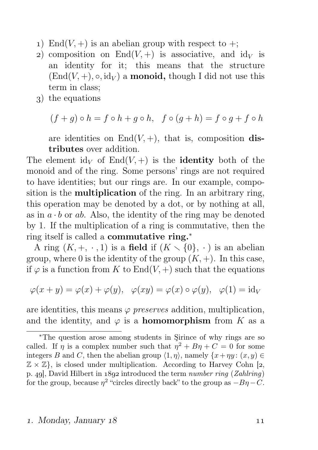- 1) End(V, +) is an abelian group with respect to +;
- 2) composition on  $End(V,+)$  is associative, and  $id_V$  is an identity for it; this means that the structure  $(End(V, +), \circ, id_V)$  a **monoid**, though I did not use this term in class;
- ) the equations

$$
(f+g)\circ h=f\circ h+g\circ h,\ \ f\circ (g+h)=f\circ g+f\circ h
$$

are identities on  $End(V, +)$ , that is, composition distributes over addition.

The element  $\mathrm{id}_V$  of  $\mathrm{End}(V,+)$  is the **identity** both of the monoid and of the ring. Some persons' rings are not required to have identities; but our rings are. In our example, composition is the **multiplication** of the ring. In an arbitrary ring, this operation may be denoted by a dot, or by nothing at all, as in  $a \cdot b$  or ab. Also, the identity of the ring may be denoted by 1. If the multiplication of a ring is commutative, then the ring itself is called a commutative ring.<sup>∗</sup>

A ring  $(K, +, \cdot, 1)$  is a field if  $(K \setminus \{0\}, \cdot)$  is an abelian group, where 0 is the identity of the group  $(K, +)$ . In this case, if  $\varphi$  is a function from K to End(V, +) such that the equations

$$
\varphi(x+y) = \varphi(x) + \varphi(y), \quad \varphi(xy) = \varphi(x) \circ \varphi(y), \quad \varphi(1) = id_V
$$

are identities, this means  $\varphi$  preserves addition, multiplication, and the identity, and  $\varphi$  is a **homomorphism** from K as a

#### 1. Monday, January 18 (19)

<sup>∗</sup>The question arose among students in Şirince of why rings are so called. If  $\eta$  is a complex number such that  $\eta^2 + B\eta + C = 0$  for some integers B and C, then the abelian group  $\langle 1, \eta \rangle$ , namely  $\{x + \eta y : (x, y) \in$  $\mathbb{Z} \times \mathbb{Z}$ , is closed under multiplication. According to Harvey Cohn [2, p. 49. David Hilbert in  $1892$  introduced the term number ring (Zahlring) for the group, because  $\eta^2$  "circles directly back" to the group as  $-B\eta-C$ .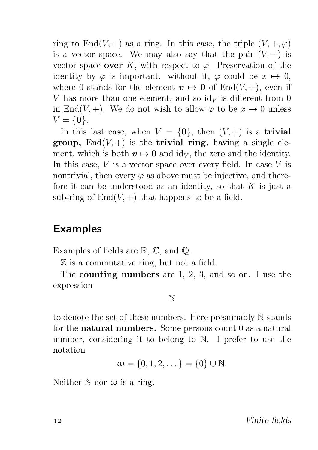ring to End(V, +) as a ring. In this case, the triple  $(V, +, \varphi)$ is a vector space. We may also say that the pair  $(V,+)$  is vector space over K, with respect to  $\varphi$ . Preservation of the identity by  $\varphi$  is important. without it,  $\varphi$  could be  $x \mapsto 0$ , where 0 stands for the element  $v \mapsto 0$  of End(V, +), even if V has more than one element, and so  $\mathrm{id}_V$  is different from 0 in End(V, +). We do not wish to allow  $\varphi$  to be  $x \mapsto 0$  unless  $V = \{0\}.$ 

In this last case, when  $V = \{0\}$ , then  $(V, +)$  is a trivial group,  $\text{End}(V,+)$  is the trivial ring, having a single element, which is both  $v \mapsto 0$  and id<sub>V</sub>, the zero and the identity. In this case,  $V$  is a vector space over every field. In case  $V$  is nontrivial, then every  $\varphi$  as above must be injective, and therefore it can be understood as an identity, so that  $K$  is just a sub-ring of  $End(V,+)$  that happens to be a field.

## Examples

Examples of fields are R, C, and Q.

Z is a commutative ring, but not a field.

The counting numbers are 1, 2, 3, and so on. I use the expression

N

to denote the set of these numbers. Here presumably N stands for the natural numbers. Some persons count 0 as a natural number, considering it to belong to N. I prefer to use the notation

$$
\omega=\{0,1,2,\dots\}=\{0\}\cup\mathbb{N}.
$$

Neither  $\mathbb N$  nor  $\omega$  is a ring.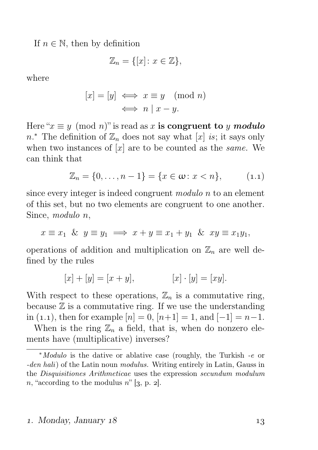If  $n \in \mathbb{N}$ , then by definition

$$
\mathbb{Z}_n = \{ [x] \colon x \in \mathbb{Z} \},\
$$

where

$$
[x] = [y] \iff x \equiv y \pmod{n}
$$

$$
\iff n \mid x - y.
$$

Here " $x \equiv y \pmod{n}$ " is read as x is congruent to y modulo  $n.*$  The definition of  $\mathbb{Z}_n$  does not say what  $[x]$  is; it says only when two instances of  $[x]$  are to be counted as the *same*. We can think that

$$
\mathbb{Z}_n = \{0, \dots, n-1\} = \{x \in \omega : x < n\}, \tag{1.1}
$$

since every integer is indeed congruent modulo n to an element of this set, but no two elements are congruent to one another. Since, modulo n,

$$
x \equiv x_1 \And y \equiv y_1 \implies x + y \equiv x_1 + y_1 \And xy \equiv x_1y_1,
$$

operations of addition and multiplication on  $\mathbb{Z}_n$  are well defined by the rules

$$
[x] + [y] = [x + y], \qquad [x] \cdot [y] = [xy].
$$

With respect to these operations,  $\mathbb{Z}_n$  is a commutative ring, because  $\mathbb Z$  is a commutative ring. If we use the understanding in (1.1), then for example  $[n] = 0$ ,  $[n+1] = 1$ , and  $[-1] = n-1$ .

When is the ring  $\mathbb{Z}_n$  a field, that is, when do nonzero elements have (multiplicative) inverses?

#### 1. Monday, January 18 (13)

<sup>∗</sup>Modulo is the dative or ablative case (roughly, the Turkish -e or -den hali) of the Latin noun modulus. Writing entirely in Latin, Gauss in the Disquisitiones Arithmeticae uses the expression secundum modulum n, "according to the modulus  $n$ " [3, p. 2].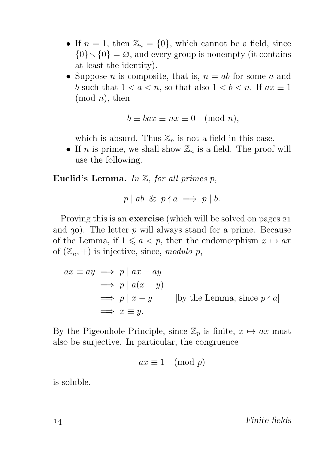- If  $n = 1$ , then  $\mathbb{Z}_n = \{0\}$ , which cannot be a field, since  $\{0\} \setminus \{0\} = \emptyset$ , and every group is nonempty (it contains at least the identity).
- Suppose *n* is composite, that is,  $n = ab$  for some *a* and b such that  $1 < a < n$ , so that also  $1 < b < n$ . If  $ax \equiv 1$  $(mod n), then$

$$
b \equiv bax \equiv nx \equiv 0 \pmod{n},
$$

which is absurd. Thus  $\mathbb{Z}_n$  is not a field in this case.

• If *n* is prime, we shall show  $\mathbb{Z}_n$  is a field. The proof will use the following.

Euclid's Lemma. In  $\mathbb Z$ , for all primes p,

$$
p \mid ab \And p \nmid a \implies p \mid b.
$$

Proving this is an **exercise** (which will be solved on pages 21 and 30). The letter  $p$  will always stand for a prime. Because of the Lemma, if  $1 \leq a < p$ , then the endomorphism  $x \mapsto ax$ of  $(\mathbb{Z}_n, +)$  is injective, since, modulo p,

$$
ax \equiv ay \implies p \mid ax - ay
$$
  
\n
$$
\implies p \mid a(x - y)
$$
  
\n
$$
\implies p \mid x - y
$$
 [by the Lemma, since  $p \nmid a$ ]  
\n
$$
\implies x \equiv y.
$$

By the Pigeonhole Principle, since  $\mathbb{Z}_p$  is finite,  $x \mapsto ax$  must also be surjective. In particular, the congruence

$$
ax \equiv 1 \pmod{p}
$$

is soluble.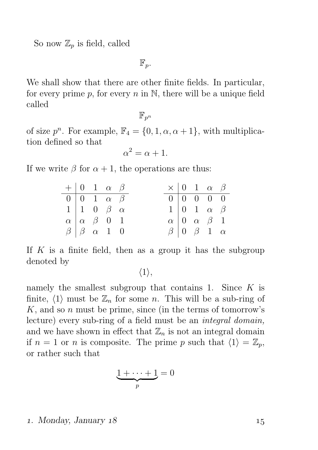So now  $\mathbb{Z}_p$  is field, called

 $\mathbb{F}_p$ .

We shall show that there are other finite fields. In particular, for every prime p, for every  $n$  in  $\mathbb N$ , there will be a unique field called

 $\mathbb{F}_{n^n}$ 

of size  $p^n$ . For example,  $\mathbb{F}_4 = \{0, 1, \alpha, \alpha + 1\}$ , with multiplication defined so that

$$
\alpha^2 = \alpha + 1.
$$

If we write  $\beta$  for  $\alpha + 1$ , the operations are thus:

|                                |  | $+ 0 1 \alpha \beta$                        |  | $\times$ 0 1 $\alpha$ $\beta$                               |  |                                                               |  |
|--------------------------------|--|---------------------------------------------|--|-------------------------------------------------------------|--|---------------------------------------------------------------|--|
|                                |  | $0 \mid 0 \quad 1 \quad \alpha \quad \beta$ |  | $\begin{array}{cccccc}\n\hline\n0 & 0 & 0 & 0\n\end{array}$ |  |                                                               |  |
|                                |  | $1 \vert 1 \ 0 \ \beta \ \alpha$            |  |                                                             |  | $1 \mid 0 \quad 1 \quad \alpha \quad \beta$                   |  |
|                                |  | $\alpha \alpha \beta \ 0 1$                 |  |                                                             |  | $\alpha \begin{bmatrix} 0 & \alpha & \beta & 1 \end{bmatrix}$ |  |
| $\beta$   $\beta$ $\alpha$ 1 0 |  |                                             |  | $\beta$ 0 $\beta$ 1 $\alpha$                                |  |                                                               |  |

If  $K$  is a finite field, then as a group it has the subgroup denoted by

 $\langle 1 \rangle$ ,

namely the smallest subgroup that contains 1. Since  $K$  is finite,  $\langle 1 \rangle$  must be  $\mathbb{Z}_n$  for some n. This will be a sub-ring of  $K$ , and so n must be prime, since (in the terms of tomorrow's lecture) every sub-ring of a field must be an integral domain, and we have shown in effect that  $\mathbb{Z}_n$  is not an integral domain if  $n = 1$  or n is composite. The prime p such that  $\langle 1 \rangle = \mathbb{Z}_p$ , or rather such that

$$
\underbrace{1+\cdots+1}_{p}=0
$$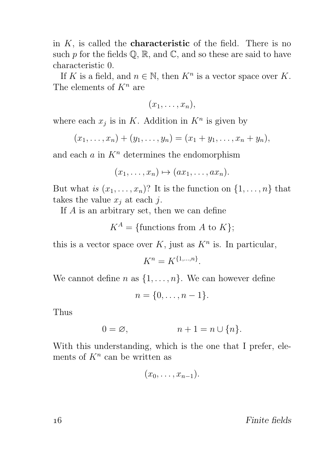in  $K$ , is called the **characteristic** of the field. There is no such  $p$  for the fields  $\mathbb{Q}, \mathbb{R}$ , and  $\mathbb{C}$ , and so these are said to have characteristic 0.

If K is a field, and  $n \in \mathbb{N}$ , then  $K^n$  is a vector space over K. The elements of  $K^n$  are

 $(x_1, \ldots, x_n),$ 

where each  $x_j$  is in K. Addition in  $K^n$  is given by

$$
(x_1, \ldots, x_n) + (y_1, \ldots, y_n) = (x_1 + y_1, \ldots, x_n + y_n),
$$

and each  $a$  in  $K<sup>n</sup>$  determines the endomorphism

$$
(x_1, \ldots, x_n) \mapsto (ax_1, \ldots, ax_n).
$$

But what is  $(x_1, \ldots, x_n)$ ? It is the function on  $\{1, \ldots, n\}$  that takes the value  $x_i$  at each j.

If A is an arbitrary set, then we can define

$$
K^A = \{ \text{functions from } A \text{ to } K \};
$$

this is a vector space over  $K$ , just as  $K<sup>n</sup>$  is. In particular,

$$
K^n = K^{\{1,\ldots,n\}}.
$$

We cannot define n as  $\{1, \ldots, n\}$ . We can however define

$$
n=\{0,\ldots,n-1\}.
$$

Thus

$$
0 = \varnothing, \qquad \qquad n + 1 = n \cup \{n\}.
$$

With this understanding, which is the one that I prefer, elements of  $K^n$  can be written as

$$
(x_0,\ldots,x_{n-1}).
$$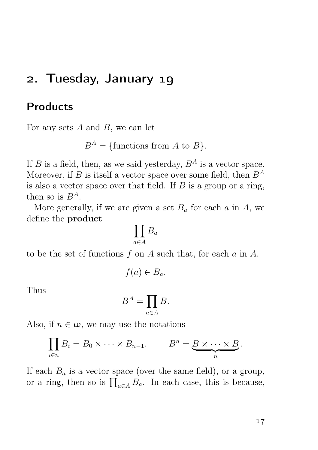## 2. Tuesday, January 19

## Products

For any sets  $A$  and  $B$ , we can let

 $B^A = \{\text{functions from } A \text{ to } B\}.$ 

If B is a field, then, as we said yesterday,  $B^A$  is a vector space. Moreover, if B is itself a vector space over some field, then  $B^A$ is also a vector space over that field. If  $B$  is a group or a ring, then so is  $B^A$ .

More generally, if we are given a set  $B_a$  for each a in A, we define the product

$$
\prod_{a\in A}B_a
$$

to be the set of functions  $f$  on  $A$  such that, for each  $a$  in  $A$ ,

$$
f(a) \in B_a.
$$

Thus

$$
B^A = \prod_{a \in A} B.
$$

Also, if  $n \in \omega$ , we may use the notations

$$
\prod_{i\in n} B_i = B_0 \times \cdots \times B_{n-1}, \qquad B^n = \underbrace{B \times \cdots \times B}_{n}.
$$

If each  $B_a$  is a vector space (over the same field), or a group, or a ring, then so is  $\prod_{a \in A} B_a$ . In each case, this is because,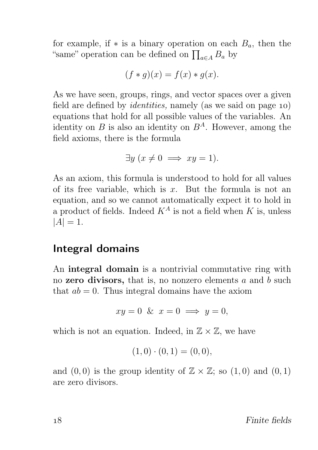for example, if  $*$  is a binary operation on each  $B_a$ , then the "same" operation can be defined on  $\prod_{a \in A} B_a$  by

$$
(f * g)(x) = f(x) * g(x).
$$

As we have seen, groups, rings, and vector spaces over a given field are defined by *identities*, namely (as we said on page  $10$ ) equations that hold for all possible values of the variables. An identity on B is also an identity on  $B^A$ . However, among the field axioms, there is the formula

$$
\exists y \ (x \neq 0 \implies xy = 1).
$$

As an axiom, this formula is understood to hold for all values of its free variable, which is  $x$ . But the formula is not an equation, and so we cannot automatically expect it to hold in a product of fields. Indeed  $K^A$  is not a field when K is, unless  $|A| = 1.$ 

#### Integral domains

An integral domain is a nontrivial commutative ring with no zero divisors, that is, no nonzero elements  $a$  and  $b$  such that  $ab = 0$ . Thus integral domains have the axiom

$$
xy = 0 \& x = 0 \implies y = 0,
$$

which is not an equation. Indeed, in  $\mathbb{Z} \times \mathbb{Z}$ , we have

$$
(1,0)\cdot(0,1)=(0,0),
$$

and  $(0, 0)$  is the group identity of  $\mathbb{Z} \times \mathbb{Z}$ ; so  $(1, 0)$  and  $(0, 1)$ are zero divisors.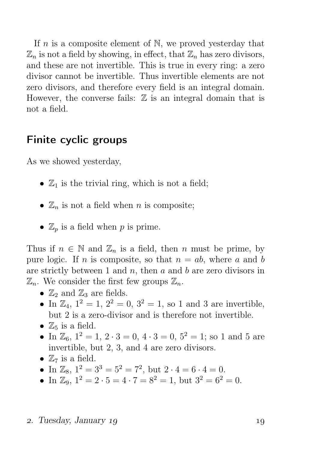If  $n$  is a composite element of  $\mathbb{N}$ , we proved yesterday that  $\mathbb{Z}_n$  is not a field by showing, in effect, that  $\mathbb{Z}_n$  has zero divisors, and these are not invertible. This is true in every ring: a zero divisor cannot be invertible. Thus invertible elements are not zero divisors, and therefore every field is an integral domain. However, the converse fails:  $\mathbb Z$  is an integral domain that is not a field.

## Finite cyclic groups

As we showed yesterday,

- $\mathbb{Z}_1$  is the trivial ring, which is not a field;
- $\mathbb{Z}_n$  is not a field when *n* is composite;
- $\mathbb{Z}_p$  is a field when p is prime.

Thus if  $n \in \mathbb{N}$  and  $\mathbb{Z}_n$  is a field, then n must be prime, by pure logic. If *n* is composite, so that  $n = ab$ , where a and b are strictly between 1 and  $n$ , then  $a$  and  $b$  are zero divisors in  $\mathbb{Z}_n$ . We consider the first few groups  $\mathbb{Z}_n$ .

- $\mathbb{Z}_2$  and  $\mathbb{Z}_3$  are fields.
- In  $\mathbb{Z}_4$ ,  $1^2 = 1$ ,  $2^2 = 0$ ,  $3^2 = 1$ , so 1 and 3 are invertible, but 2 is a zero-divisor and is therefore not invertible.
- $\mathbb{Z}_5$  is a field.
- In  $\mathbb{Z}_6$ ,  $1^2 = 1$ ,  $2 \cdot 3 = 0$ ,  $4 \cdot 3 = 0$ ,  $5^2 = 1$ ; so 1 and 5 are invertible, but 2, 3, and 4 are zero divisors.
- $\mathbb{Z}_7$  is a field.
- In  $\mathbb{Z}_8$ ,  $1^2 = 3^3 = 5^2 = 7^2$ , but  $2 \cdot 4 = 6 \cdot 4 = 0$ .
- In  $\mathbb{Z}_9$ ,  $1^2 = 2 \cdot 5 = 4 \cdot 7 = 8^2 = 1$ , but  $3^2 = 6^2 = 0$ .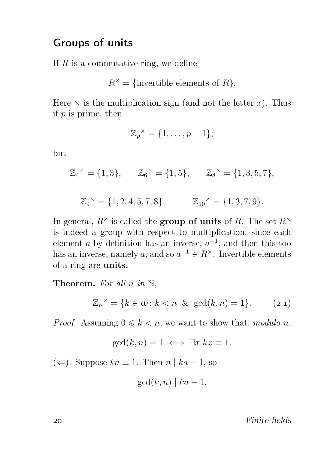### Groups of units

If  $R$  is a commutative ring, we define

$$
R^{\times} = \{\text{invertible elements of } R\}.
$$

Here  $\times$  is the multiplication sign (and not the letter x). Thus if  $p$  is prime, then

$$
\mathbb{Z}_p^{\times} = \{1, \ldots, p-1\};
$$

but

$$
\mathbb{Z}_4^{\times} = \{1,3\}, \qquad \mathbb{Z}_6^{\times} = \{1,5\}, \qquad \mathbb{Z}_8^{\times} = \{1,3,5,7\},
$$

 $\mathbb{Z}_9^{\times} = \{1, 2, 4, 5, 7, 8\}, \qquad \mathbb{Z}_{10}^{\times} = \{1, 3, 7, 9\}.$ 

In general,  $R^{\times}$  is called the **group of units** of R. The set  $R^{\times}$ is indeed a group with respect to multiplication, since each element *a* by definition has an inverse,  $a^{-1}$ , and then this too has an inverse, namely a, and so  $a^{-1} \in R^{\times}$ . Invertible elements of a ring are units.

**Theorem.** For all n in  $\mathbb{N}$ ,

$$
\mathbb{Z}_n^{\times} = \{k \in \omega \colon k < n \ \& \ \gcd(k, n) = 1\}. \tag{2.1}
$$

*Proof.* Assuming  $0 \leq k \leq n$ , we want to show that, modulo n,

$$
\gcd(k, n) = 1 \iff \exists x \ kx \equiv 1.
$$

 $(\Leftarrow)$ . Suppose  $ka \equiv 1$ . Then n | ka − 1, so

$$
\gcd(k, n) \mid ka - 1.
$$

Finite fields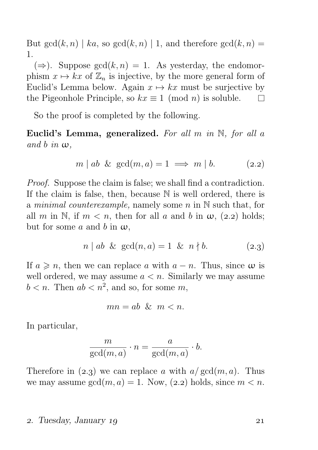But  $gcd(k, n) | ka$ , so  $gcd(k, n) | 1$ , and therefore  $gcd(k, n) =$ 1.

 $(\Rightarrow)$ . Suppose  $gcd(k, n) = 1$ . As yesterday, the endomorphism  $x \mapsto kx$  of  $\mathbb{Z}_n$  is injective, by the more general form of Euclid's Lemma below. Again  $x \mapsto kx$  must be surjective by the Pigeonhole Principle, so  $kx \equiv 1 \pmod{n}$  is soluble.  $\Box$ 

So the proof is completed by the following.

Euclid's Lemma, generalized. For all  $m$  in  $\mathbb{N}$ , for all a and b in  $\omega$ .

$$
m \mid ab \& \gcd(m, a) = 1 \implies m \mid b. \tag{2.2}
$$

Proof. Suppose the claim is false; we shall find a contradiction. If the claim is false, then, because N is well ordered, there is a minimal counterexample, namely some  $n$  in  $\mathbb N$  such that, for all m in N, if  $m < n$ , then for all a and b in  $\omega$ , (2.2) holds; but for some a and b in  $\omega$ ,

$$
n | ab \& gcd(n, a) = 1 \& n \nmid b. \tag{2.3}
$$

If  $a \geq n$ , then we can replace a with  $a - n$ . Thus, since  $\omega$  is well ordered, we may assume  $a < n$ . Similarly we may assume  $b < n$ . Then  $ab < n^2$ , and so, for some  $m$ ,

$$
mn = ab \& m < n.
$$

In particular,

$$
\frac{m}{\gcd(m, a)} \cdot n = \frac{a}{\gcd(m, a)} \cdot b.
$$

Therefore in  $(2.3)$  we can replace a with  $a/gcd(m, a)$ . Thus we may assume  $gcd(m, a) = 1$ . Now, (2.2) holds, since  $m < n$ .

#### 2. Tuesday, January 19 21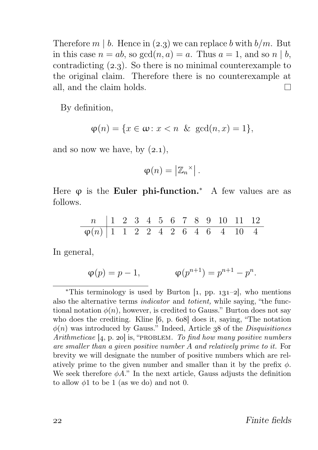Therefore  $m \mid b$ . Hence in (2.3) we can replace b with  $b/m$ . But in this case  $n = ab$ , so  $gcd(n, a) = a$ . Thus  $a = 1$ , and so  $n \mid b$ , contradicting  $(2.3)$ . So there is no minimal counterexample to the original claim. Therefore there is no counterexample at all, and the claim holds.  $\Box$ 

By definition,

$$
\varphi(n) = \{x \in \omega : x < n \ \& \ \gcd(n, x) = 1\},
$$

and so now we have, by  $(2.1)$ ,

$$
\varphi(n) = \left| \mathbb{Z}_n^{\times} \right|.
$$

Here  $\varphi$  is the **Euler phi-function.**\* A few values are as follows.

n 1 2 3 4 5 6 7 8 9 10 11 12 ϕ(n) 1 1 2 2 4 2 6 4 6 4 10 4

In general,

$$
\varphi(p) = p - 1,
$$
\n $\varphi(p^{n+1}) = p^{n+1} - p^n.$ 

\*This terminology is used by Burton  $[1, pp. 131-2]$ , who mentions also the alternative terms indicator and totient, while saying, "the functional notation  $\phi(n)$ , however, is credited to Gauss." Burton does not say who does the crediting. Kline  $[6, p. 608]$  does it, saying, "The notation  $\phi(n)$  was introduced by Gauss." Indeed, Article 38 of the *Disquisitiones* Arithmeticae  $[4, p. 20]$  is, "PROBLEM. To find how many positive numbers are smaller than a given positive number A and relatively prime to it. For brevity we will designate the number of positive numbers which are relatively prime to the given number and smaller than it by the prefix  $\phi$ . We seek therefore  $\phi A$ ." In the next article, Gauss adjusts the definition to allow  $\phi$ 1 to be 1 (as we do) and not 0.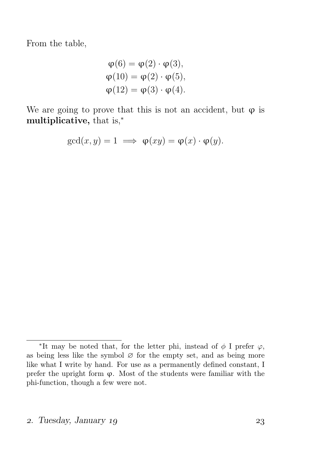From the table,

$$
\varphi(6) = \varphi(2) \cdot \varphi(3),
$$
  
\n
$$
\varphi(10) = \varphi(2) \cdot \varphi(5),
$$
  
\n
$$
\varphi(12) = \varphi(3) \cdot \varphi(4).
$$

We are going to prove that this is not an accident, but  $\varphi$  is multiplicative, that is,<sup>∗</sup>

$$
\gcd(x, y) = 1 \implies \varphi(xy) = \varphi(x) \cdot \varphi(y).
$$

<sup>\*</sup>It may be noted that, for the letter phi, instead of  $\phi$  I prefer  $\varphi$ , as being less like the symbol  $\varnothing$  for the empty set, and as being more like what I write by hand. For use as a permanently defined constant, I prefer the upright form  $\varphi$ . Most of the students were familiar with the phi-function, though a few were not.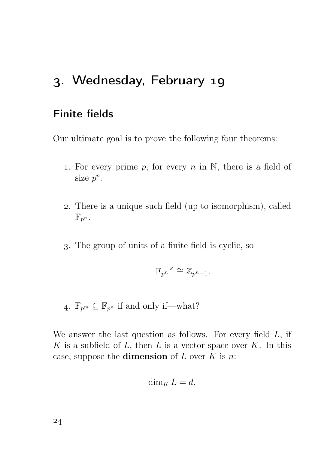# . Wednesday, February

## Finite fields

Our ultimate goal is to prove the following four theorems:

- 1. For every prime p, for every n in  $\mathbb N$ , there is a field of size  $p^n$ .
- . There is a unique such field (up to isomorphism), called  $\mathbb{F}_{p^n}$ .
- . The group of units of a finite field is cyclic, so

$$
\mathbb{F}_{p^n}^\times\cong \mathbb{Z}_{p^n-1}.
$$

4.  $\mathbb{F}_{p^m} \subseteq \mathbb{F}_{p^n}$  if and only if—what?

We answer the last question as follows. For every field  $L$ , if K is a subfield of  $L$ , then  $L$  is a vector space over  $K$ . In this case, suppose the **dimension** of  $L$  over  $K$  is  $n$ .

$$
\dim_K L = d.
$$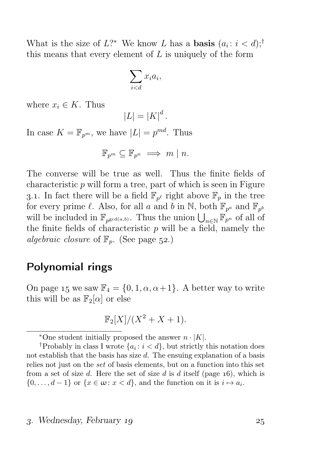What is the size of  $L$ ?\* We know L has a **basis**  $(a_i : i < d)$ ;<sup>†</sup> this means that every element of  $L$  is uniquely of the form

$$
\sum_{i < d} x_i a_i,
$$

where  $x_i \in K$ . Thus

$$
|L| = |K|^d.
$$

In case  $K = \mathbb{F}_{p^m}$ , we have  $|L| = p^{md}$ . Thus

$$
\mathbb{F}_{p^m} \subseteq \mathbb{F}_{p^n} \implies m \mid n.
$$

The converse will be true as well. Thus the finite fields of characteristic  $p$  will form a tree, part of which is seen in Figure 3.1. In fact there will be a field  $\mathbb{F}_{p^{\ell}}$  right above  $\mathbb{F}_p$  in the tree for every prime  $\ell$ . Also, for all a and b in N, both  $\mathbb{F}_{p^a}$  and  $\mathbb{F}_{p^b}$ will be included in  $\mathbb{F}_{p^{\gcd(a,b)}}$ . Thus the union  $\bigcup_{n\in\mathbb{N}}\mathbb{F}_{p^n}$  of all of the finite fields of characteristic  $p$  will be a field, namely the algebraic closure of  $\mathbb{F}_p$ . (See page 52.)

### Polynomial rings

On page 15 we saw  $\mathbb{F}_4 = \{0, 1, \alpha, \alpha + 1\}$ . A better way to write this will be as  $\mathbb{F}_2[\alpha]$  or else

$$
\mathbb{F}_2[X]/(X^2+X+1).
$$

<sup>\*</sup>One student initially proposed the answer  $n \cdot |K|$ .

<sup>&</sup>lt;sup>†</sup>Probably in class I wrote  $\{a_i : i < d\}$ , but strictly this notation does not establish that the basis has size  $d$ . The ensuing explanation of a basis relies not just on the set of basis elements, but on a function into this set from a set of size d. Here the set of size d is d itself (page  $16$ ), which is  $\{0,\ldots,d-1\}$  or  $\{x\in\omega: x < d\}$ , and the function on it is  $i\mapsto a_i$ .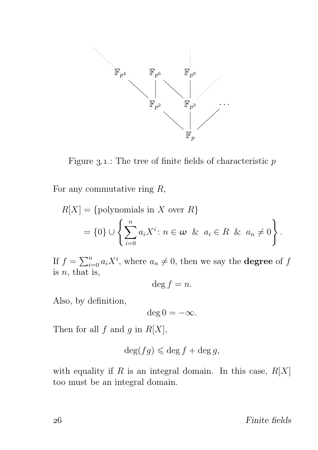

Figure 3.1.: The tree of finite fields of characteristic  $p$ 

For any commutative ring  $R$ ,

$$
R[X] = \{\text{polynomials in } X \text{ over } R\}
$$
  
=  $\{0\} \cup \left\{\sum_{i=0}^{n} a_i X^i : n \in \omega \& a_i \in R \& a_n \neq 0\right\}.$ 

If  $f = \sum_{i=0}^{n} a_i X^i$ , where  $a_n \neq 0$ , then we say the **degree** of f is  $n$ , that is,

$$
\deg f = n.
$$

Also, by definition,

$$
\deg 0 = -\infty.
$$

Then for all  $f$  and  $g$  in  $R[X]$ ,

$$
\deg(fg) \leqslant \deg f + \deg g,
$$

with equality if R is an integral domain. In this case,  $R[X]$ too must be an integral domain.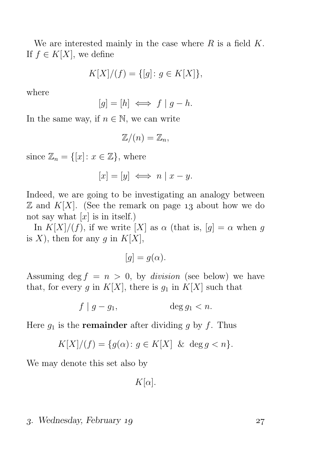We are interested mainly in the case where  $R$  is a field  $K$ . If  $f \in K[X]$ , we define

$$
K[X]/(f) = \{ [g] \colon g \in K[X] \},\
$$

where

$$
[g] = [h] \iff f \mid g - h.
$$

In the same way, if  $n \in \mathbb{N}$ , we can write

$$
\mathbb{Z}/(n)=\mathbb{Z}_n,
$$

since  $\mathbb{Z}_n = \{ [x] : x \in \mathbb{Z} \}$ , where

$$
[x] = [y] \iff n \mid x - y.
$$

Indeed, we are going to be investigating an analogy between  $\mathbb Z$  and  $K[X]$ . (See the remark on page 13 about how we do not say what  $[x]$  is in itself.)

In  $K[X]/(f)$ , if we write  $[X]$  as  $\alpha$  (that is,  $[g] = \alpha$  when g is X), then for any g in  $K[X]$ ,

 $[q] = q(\alpha).$ 

Assuming deg  $f = n > 0$ , by *division* (see below) we have that, for every g in  $K[X]$ , there is  $g_1$  in  $K[X]$  such that

$$
f \mid g - g_1, \qquad \deg g_1 < n.
$$

Here  $q_1$  is the **remainder** after dividing g by f. Thus

$$
K[X]/(f) = \{g(\alpha) \colon g \in K[X] \& \deg g < n\}.
$$

We may denote this set also by

 $K[\alpha]$ .

#### . Wednesday, February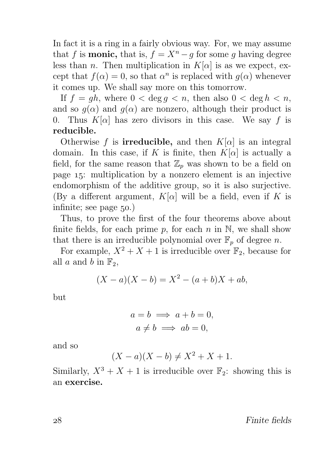In fact it is a ring in a fairly obvious way. For, we may assume that f is **monic**, that is,  $f = X^n - g$  for some q having degree less than n. Then multiplication in  $K[\alpha]$  is as we expect, except that  $f(\alpha) = 0$ , so that  $\alpha^n$  is replaced with  $g(\alpha)$  whenever it comes up. We shall say more on this tomorrow.

If  $f = gh$ , where  $0 < \deg q < n$ , then also  $0 < \deg h < n$ , and so  $g(\alpha)$  and  $g(\alpha)$  are nonzero, although their product is 0. Thus  $K[\alpha]$  has zero divisors in this case. We say f is reducible.

Otherwise f is **irreducible**, and then  $K[\alpha]$  is an integral domain. In this case, if K is finite, then  $K[\alpha]$  is actually a field, for the same reason that  $\mathbb{Z}_p$  was shown to be a field on page  $15$ : multiplication by a nonzero element is an injective endomorphism of the additive group, so it is also surjective. (By a different argument,  $K[\alpha]$  will be a field, even if K is infinite; see page  $50$ .)

Thus, to prove the first of the four theorems above about finite fields, for each prime p, for each n in  $\mathbb N$ , we shall show that there is an irreducible polynomial over  $\mathbb{F}_p$  of degree n.

For example,  $X^2 + X + 1$  is irreducible over  $\mathbb{F}_2$ , because for all a and b in  $\mathbb{F}_2$ ,

$$
(X - a)(X - b) = X^2 - (a + b)X + ab,
$$

but

$$
a = b \implies a + b = 0,
$$
  

$$
a \neq b \implies ab = 0,
$$

and so

$$
(X - a)(X - b) \neq X^2 + X + 1.
$$

Similarly,  $X^3 + X + 1$  is irreducible over  $\mathbb{F}_2$ : showing this is an exercise.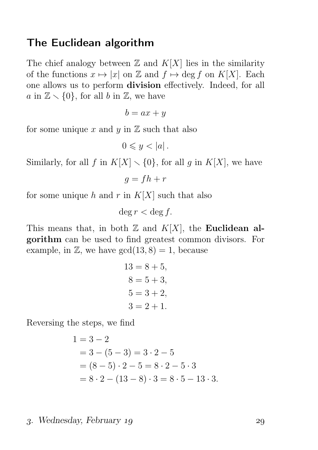### The Euclidean algorithm

The chief analogy between  $\mathbb Z$  and  $K[X]$  lies in the similarity of the functions  $x \mapsto |x|$  on  $\mathbb Z$  and  $f \mapsto \deg f$  on  $K[X]$ . Each one allows us to perform division effectively. Indeed, for all a in  $\mathbb{Z} \setminus \{0\}$ , for all b in  $\mathbb{Z}$ , we have

$$
b = ax + y
$$

for some unique x and y in  $\mathbb Z$  such that also

$$
0 \leqslant y < |a| \, .
$$

Similarly, for all f in  $K[X] \setminus \{0\}$ , for all g in  $K[X]$ , we have

$$
g = fh + r
$$

for some unique h and r in  $K[X]$  such that also

$$
\deg r < \deg f.
$$

This means that, in both  $\mathbb Z$  and  $K[X]$ , the Euclidean algorithm can be used to find greatest common divisors. For example, in  $\mathbb{Z}$ , we have  $gcd(13, 8) = 1$ , because

$$
13 = 8 + 5,\n8 = 5 + 3,\n5 = 3 + 2,\n3 = 2 + 1.
$$

Reversing the steps, we find

$$
1 = 3 - 2
$$
  
= 3 - (5 - 3) = 3 \cdot 2 - 5  
= (8 - 5) \cdot 2 - 5 = 8 \cdot 2 - 5 \cdot 3  
= 8 \cdot 2 - (13 - 8) \cdot 3 = 8 \cdot 5 - 13 \cdot 3.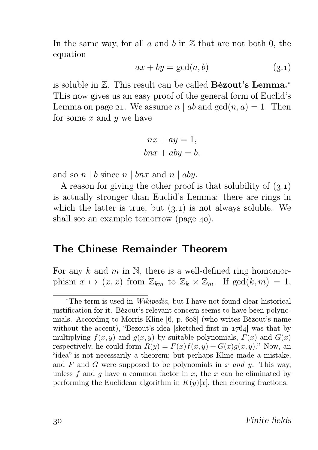In the same way, for all  $a$  and  $b$  in  $\mathbb Z$  that are not both 0, the equation

$$
ax + by = \gcd(a, b) \tag{3.1}
$$

is soluble in Z. This result can be called Bézout's Lemma.<sup>∗</sup> This now gives us an easy proof of the general form of Euclid's Lemma on page 21. We assume  $n \mid ab$  and  $gcd(n, a) = 1$ . Then for some  $x$  and  $y$  we have

$$
nx + ay = 1,
$$
  

$$
bnx + aby = b,
$$

and so  $n \mid b$  since  $n \mid bnx$  and  $n \mid aby$ .

A reason for giving the other proof is that solubility of  $(3.1)$ is actually stronger than Euclid's Lemma: there are rings in which the latter is true, but  $(3.1)$  is not always soluble. We shall see an example tomorrow (page  $40$ ).

#### The Chinese Remainder Theorem

For any k and m in N, there is a well-defined ring homomorphism  $x \mapsto (x, x)$  from  $\mathbb{Z}_{km}$  to  $\mathbb{Z}_k \times \mathbb{Z}_m$ . If  $gcd(k, m) = 1$ ,

<sup>∗</sup>The term is used in Wikipedia, but I have not found clear historical justification for it. Bézout's relevant concern seems to have been polynomials. According to Morris Kline  $[6, p. 608]$  (who writes Bézout's name without the accent), "Bezout's idea [sketched first in  $1764$ ] was that by multiplying  $f(x, y)$  and  $g(x, y)$  by suitable polynomials,  $F(x)$  and  $G(x)$ respectively, he could form  $R(y) = F(x)f(x, y) + G(x)g(x, y)$ ." Now, an "idea" is not necessarily a theorem; but perhaps Kline made a mistake, and F and G were supposed to be polynomials in x and y. This way, unless f and q have a common factor in x, the x can be eliminated by performing the Euclidean algorithm in  $K(y)[x]$ , then clearing fractions.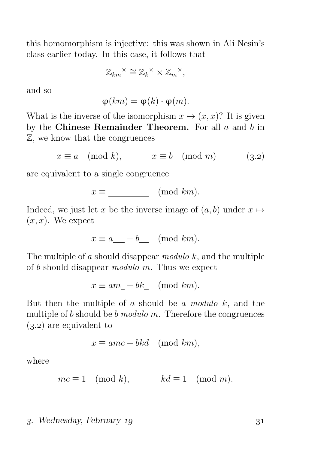this homomorphism is injective: this was shown in Ali Nesin's class earlier today. In this case, it follows that

$$
\mathbb{Z}_{km}^{\times} \cong \mathbb{Z}_k^{\times} \times \mathbb{Z}_m^{\times},
$$

and so

$$
\varphi(km) = \varphi(k) \cdot \varphi(m).
$$

What is the inverse of the isomorphism  $x \mapsto (x, x)$ ? It is given by the Chinese Remainder Theorem. For all  $a$  and  $b$  in Z, we know that the congruences

$$
x \equiv a \pmod{k}, \qquad x \equiv b \pmod{m} \qquad (3.2)
$$

are equivalent to a single congruence

$$
x \equiv \underline{\hspace{2cm}} \pmod{km}.
$$

Indeed, we just let x be the inverse image of  $(a, b)$  under  $x \mapsto$  $(x, x)$ . We expect

$$
x \equiv a \_ + b \_ \pmod{km}.
$$

The multiple of a should disappear modulo  $k$ , and the multiple of b should disappear modulo m. Thus we expect

$$
x \equiv am_- + bk_- \pmod{km}.
$$

But then the multiple of a should be a modulo  $k$ , and the multiple of  $b$  should be  $b$  modulo  $m$ . Therefore the congruences  $(3.2)$  are equivalent to

$$
x \equiv amc + bkd \pmod{km},
$$

where

$$
mc \equiv 1 \pmod{k}, \qquad kd \equiv 1 \pmod{m}.
$$

#### . Wednesday, February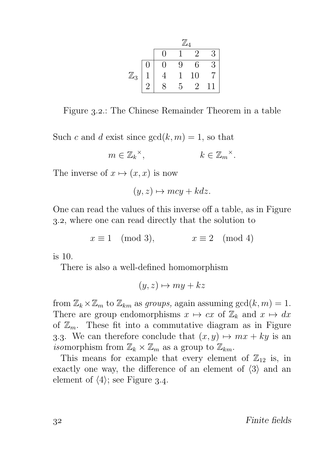|                |     | $\mathbb{Z}_4$ |   |    |           |  |  |  |
|----------------|-----|----------------|---|----|-----------|--|--|--|
|                |     | N              |   | 2  | 3         |  |  |  |
|                | ( ) | 1              | 9 | 6  | 3         |  |  |  |
| $\mathbb{Z}_3$ |     |                |   | 10 |           |  |  |  |
|                | റ   |                | 5 | っ  | $\cdot 1$ |  |  |  |

Figure 3.2.: The Chinese Remainder Theorem in a table

Such c and d exist since  $gcd(k, m) = 1$ , so that

$$
m \in \mathbb{Z}_k^{\times}, \qquad k \in \mathbb{Z}_m^{\times}.
$$

The inverse of  $x \mapsto (x, x)$  is now

$$
(y, z) \mapsto mcy + kdz.
$$

One can read the values of this inverse off a table, as in Figure ., where one can read directly that the solution to

 $x \equiv 1 \pmod{3}$ ,  $x \equiv 2 \pmod{4}$ 

is 10.

There is also a well-defined homomorphism

 $(y, z) \mapsto my + kz$ 

from  $\mathbb{Z}_k \times \mathbb{Z}_m$  to  $\mathbb{Z}_{km}$  as groups, again assuming  $gcd(k, m) = 1$ . There are group endomorphisms  $x \mapsto cx$  of  $\mathbb{Z}_k$  and  $x \mapsto dx$ of  $\mathbb{Z}_m$ . These fit into a commutative diagram as in Figure 3.3. We can therefore conclude that  $(x, y) \mapsto mx + ky$  is an isomorphism from  $\mathbb{Z}_k \times \mathbb{Z}_m$  as a group to  $\mathbb{Z}_{km}$ .

This means for example that every element of  $\mathbb{Z}_{12}$  is, in exactly one way, the difference of an element of  $\langle 3 \rangle$  and an element of  $\langle 4 \rangle$ ; see Figure 3.4.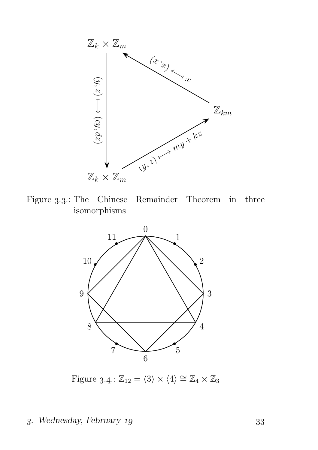

Figure 3.3.: The Chinese Remainder Theorem in three isomorphisms



Figure 3.4:  $\mathbb{Z}_{12} = \langle 3 \rangle \times \langle 4 \rangle \cong \mathbb{Z}_4 \times \mathbb{Z}_3$ 

### . Wednesday, February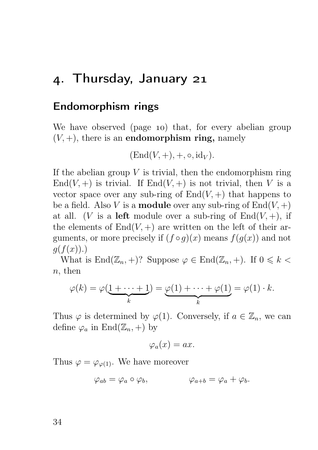## . Thursday, January

### Endomorphism rings

We have observed (page 10) that, for every abelian group  $(V, +)$ , there is an **endomorphism ring**, namely

$$
(\mathrm{End}(V,+),+,\circ,\mathrm{id}_V).
$$

If the abelian group  $V$  is trivial, then the endomorphism ring End(V, +) is trivial. If End(V, +) is not trivial, then V is a vector space over any sub-ring of  $End(V, +)$  that happens to be a field. Also V is a **module** over any sub-ring of  $End(V,+)$ at all. (V is a left module over a sub-ring of  $End(V, +)$ , if the elements of  $End(V,+)$  are written on the left of their arguments, or more precisely if  $(f \circ g)(x)$  means  $f(g(x))$  and not  $q(f(x))$ .)

What is  $\text{End}(\mathbb{Z}_n, +)$ ? Suppose  $\varphi \in \text{End}(\mathbb{Z}_n, +)$ . If  $0 \leq k <$  $n,$  then

$$
\varphi(k) = \varphi(\underbrace{1 + \dots + 1}_{k}) = \underbrace{\varphi(1) + \dots + \varphi(1)}_{k} = \varphi(1) \cdot k.
$$

Thus  $\varphi$  is determined by  $\varphi(1)$ . Conversely, if  $a \in \mathbb{Z}_n$ , we can define  $\varphi_a$  in End $(\mathbb{Z}_n, +)$  by

$$
\varphi_a(x) = ax.
$$

Thus  $\varphi = \varphi_{\varphi(1)}$ . We have moreover

$$
\varphi_{ab} = \varphi_a \circ \varphi_b, \qquad \varphi_{a+b} = \varphi_a + \varphi_b.
$$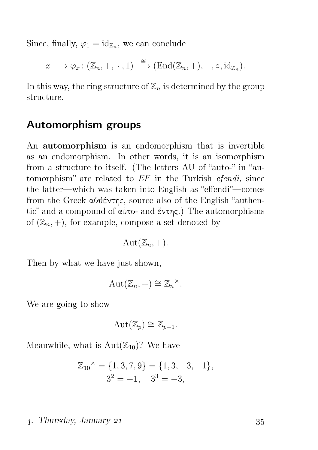Since, finally,  $\varphi_1 = \mathrm{id}_{\mathbb{Z}_n}$ , we can conclude

$$
x \longmapsto \varphi_x \colon (\mathbb{Z}_n, +, \cdot, 1) \stackrel{\cong}{\longrightarrow} (\text{End}(\mathbb{Z}_n, +), +, \circ, \text{id}_{\mathbb{Z}_n}).
$$

In this way, the ring structure of  $\mathbb{Z}_n$  is determined by the group structure.

#### Automorphism groups

An automorphism is an endomorphism that is invertible as an endomorphism. In other words, it is an isomorphism from a structure to itself. (The letters AU of "auto-" in "automorphism" are related to  $EF$  in the Turkish *efendi*, since the latter—which was taken into English as "effendi"—comes from the Greek αὐθέντης, source also of the English "authentic" and a compound of αὐτο- and ἕντης.) The automorphisms of  $(\mathbb{Z}_n, +)$ , for example, compose a set denoted by

$$
Aut(\mathbb{Z}_n,+).
$$

Then by what we have just shown,

$$
Aut(\mathbb{Z}_n,+)\cong \mathbb{Z}_n^{\times}.
$$

We are going to show

$$
Aut(\mathbb{Z}_p)\cong \mathbb{Z}_{p-1}.
$$

Meanwhile, what is  $Aut(\mathbb{Z}_{10})$ ? We have

$$
\mathbb{Z}_{10}^{\times} = \{1, 3, 7, 9\} = \{1, 3, -3, -1\},
$$
  

$$
3^2 = -1, \quad 3^3 = -3,
$$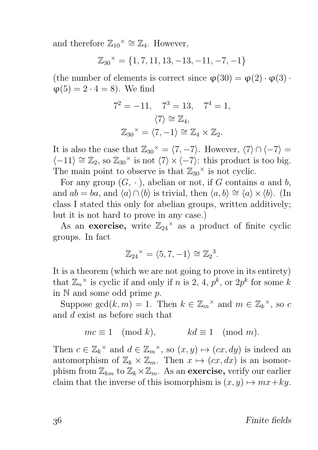and therefore  $\mathbb{Z}_{10}^{\times} \cong \mathbb{Z}_4$ . However,

$$
\mathbb{Z}_{30}^{\times} = \{1, 7, 11, 13, -13, -11, -7, -1\}
$$

(the number of elements is correct since  $\varphi(30) = \varphi(2) \cdot \varphi(3)$ .  $\varphi(5) = 2 \cdot 4 = 8$ . We find

$$
7^2 = -11
$$
,  $7^3 = 13$ ,  $7^4 = 1$ ,  
\n $\langle 7 \rangle \cong \mathbb{Z}_4$ ,  
\n $\mathbb{Z}_{30}^{\times} = \langle 7, -1 \rangle \cong \mathbb{Z}_4 \times \mathbb{Z}_2$ .

It is also the case that  $\mathbb{Z}_{30}^{\times} = \langle 7, -7 \rangle$ . However,  $\langle 7 \rangle \cap \langle -7 \rangle =$  $\langle -11 \rangle \cong \mathbb{Z}_2$ , so  $\mathbb{Z}_{30}^{\times}$  is not  $\langle 7 \rangle \times \langle -7 \rangle$ : this product is too big. The main point to observe is that  $\mathbb{Z}_{30}^{\times}$  is not cyclic.

For any group  $(G, \cdot)$ , abelian or not, if G contains a and b, and  $ab = ba$ , and  $\langle a \rangle \cap \langle b \rangle$  is trivial, then  $\langle a, b \rangle \cong \langle a \rangle \times \langle b \rangle$ . (In class I stated this only for abelian groups, written additively; but it is not hard to prove in any case.)

As an exercise, write  $\mathbb{Z}_{24}^{\times}$  as a product of finite cyclic groups. In fact

$$
\mathbb{Z}_{24}^{\times} = \langle 5, 7, -1 \rangle \cong \mathbb{Z}_2^3.
$$

It is a theorem (which we are not going to prove in its entirety) that  $\mathbb{Z}_n^{\times}$  is cyclic if and only if n is 2, 4,  $p^k$ , or  $2p^k$  for some k in  $\mathbb N$  and some odd prime  $p$ .

Suppose  $gcd(k, m) = 1$ . Then  $k \in \mathbb{Z}_m^{\times}$  and  $m \in \mathbb{Z}_k^{\times}$ , so c and d exist as before such that

$$
mc \equiv 1 \pmod{k}, \qquad kd \equiv 1 \pmod{m}.
$$

Then  $c \in \mathbb{Z}_k^{\times}$  and  $d \in \mathbb{Z}_m^{\times}$ , so  $(x, y) \mapsto (cx, dy)$  is indeed an automorphism of  $\mathbb{Z}_k \times \mathbb{Z}_m$ . Then  $x \mapsto (cx, dx)$  is an isomorphism from  $\mathbb{Z}_{km}$  to  $\mathbb{Z}_k \times \mathbb{Z}_m$ . As an exercise, verify our earlier claim that the inverse of this isomorphism is  $(x, y) \mapsto mx+ky$ .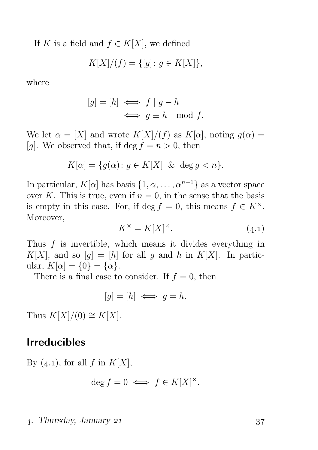If K is a field and  $f \in K[X]$ , we defined

$$
K[X]/(f) = \{ [g] \colon g \in K[X] \},\
$$

where

$$
[g] = [h] \iff f \mid g - h
$$
  

$$
\iff g \equiv h \mod f.
$$

We let  $\alpha = [X]$  and wrote  $K[X]/(f)$  as  $K[\alpha]$ , noting  $g(\alpha) =$ [g]. We observed that, if deg  $f = n > 0$ , then

$$
K[\alpha] = \{ g(\alpha) \colon g \in K[X] \& \deg g < n \}.
$$

In particular,  $K[\alpha]$  has basis  $\{1, \alpha, \ldots, \alpha^{n-1}\}\$  as a vector space over K. This is true, even if  $n = 0$ , in the sense that the basis is empty in this case. For, if deg  $f = 0$ , this means  $f \in K^{\times}$ . Moreover,

$$
K^{\times} = K[X]^{\times}.
$$
 (4.1)

Thus f is invertible, which means it divides everything in  $K[X]$ , and so  $[q] = [h]$  for all g and h in  $K[X]$ . In particular,  $K[\alpha] = \{0\} = {\alpha}.$ 

There is a final case to consider. If  $f = 0$ , then

$$
[g] = [h] \iff g = h.
$$

Thus  $K[X]/(0) \cong K[X]$ .

# Irreducibles

By  $(4.1)$ , for all f in  $K[X]$ ,

$$
\deg f = 0 \iff f \in K[X]^\times.
$$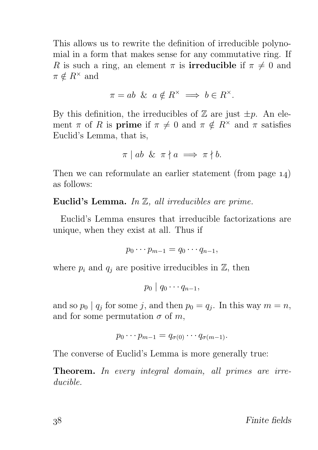This allows us to rewrite the definition of irreducible polynomial in a form that makes sense for any commutative ring. If R is such a ring, an element  $\pi$  is **irreducible** if  $\pi \neq 0$  and  $\pi \notin R^{\times}$  and

$$
\pi = ab \And a \notin R^{\times} \implies b \in R^{\times}.
$$

By this definition, the irreducibles of  $\mathbb Z$  are just  $\pm p$ . An element  $\pi$  of R is **prime** if  $\pi \neq 0$  and  $\pi \notin R^{\times}$  and  $\pi$  satisfies Euclid's Lemma, that is,

$$
\pi \mid ab \And \pi \nmid a \implies \pi \nmid b.
$$

Then we can reformulate an earlier statement (from page  $14$ ) as follows:

Euclid's Lemma. In Z, all irreducibles are prime.

Euclid's Lemma ensures that irreducible factorizations are unique, when they exist at all. Thus if

$$
p_0\cdots p_{m-1}=q_0\cdots q_{n-1},
$$

where  $p_i$  and  $q_j$  are positive irreducibles in  $\mathbb{Z}$ , then

 $p_0 \mid q_0 \cdots q_{n-1},$ 

and so  $p_0 | q_j$  for some j, and then  $p_0 = q_j$ . In this way  $m = n$ , and for some permutation  $\sigma$  of m,

$$
p_0\cdots p_{m-1}=q_{\sigma(0)}\cdots q_{\sigma(m-1)}.
$$

The converse of Euclid's Lemma is more generally true:

Theorem. In every integral domain, all primes are irreducible.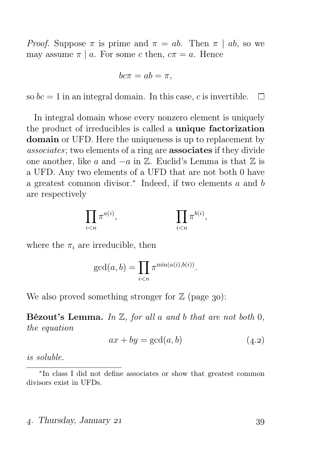*Proof.* Suppose  $\pi$  is prime and  $\pi = ab$ . Then  $\pi | ab$ , so we may assume  $\pi | a$ . For some c then,  $c\pi = a$ . Hence

$$
bc\pi = ab = \pi,
$$

so  $bc = 1$  in an integral domain. In this case, c is invertible.  $\Box$ 

In integral domain whose every nonzero element is uniquely the product of irreducibles is called a unique factorization domain or UFD. Here the uniqueness is up to replacement by associates; two elements of a ring are associates if they divide one another, like a and  $-a$  in  $\mathbb{Z}$ . Euclid's Lemma is that  $\mathbb{Z}$  is a UFD. Any two elements of a UFD that are not both 0 have a greatest common divisor.<sup>∗</sup> Indeed, if two elements a and b are respectively

$$
\prod_{i
$$

where the  $\pi_i$  are irreducible, then

$$
\gcd(a, b) = \prod_{i < n} \pi^{\min(a(i), b(i))}.
$$

We also proved something stronger for  $\mathbb Z$  (page 30):

**Bézout's Lemma.** In  $\mathbb{Z}$ , for all a and b that are not both  $0$ , the equation

$$
ax + by = \gcd(a, b) \tag{4.2}
$$

is soluble.

#### . Thursday, January

<sup>∗</sup> In class I did not define associates or show that greatest common divisors exist in UFDs.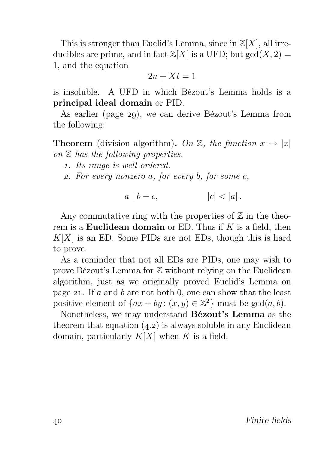This is stronger than Euclid's Lemma, since in  $\mathbb{Z}[X]$ , all irreducibles are prime, and in fact  $\mathbb{Z}[X]$  is a UFD; but  $gcd(X, 2) =$ 1, and the equation

$$
2u + Xt = 1
$$

is insoluble. A UFD in which Bézout's Lemma holds is a principal ideal domain or PID.

As earlier (page 29), we can derive Bézout's Lemma from the following:

**Theorem** (division algorithm). On  $\mathbb{Z}$ , the function  $x \mapsto |x|$ on  $Z$  has the following properties.

- . Its range is well ordered.
- . For every nonzero a, for every b, for some c,

$$
a \mid b - c, \qquad |c| < |a|.
$$

Any commutative ring with the properties of  $\mathbb Z$  in the theorem is a **Euclidean domain** or ED. Thus if  $K$  is a field, then  $K[X]$  is an ED. Some PIDs are not EDs, though this is hard to prove.

As a reminder that not all EDs are PIDs, one may wish to prove Bézout's Lemma for Z without relying on the Euclidean algorithm, just as we originally proved Euclid's Lemma on page 21. If a and b are not both 0, one can show that the least positive element of  $\{ax + by: (x, y) \in \mathbb{Z}^2\}$  must be  $gcd(a, b)$ .

Nonetheless, we may understand Bézout's Lemma as the theorem that equation  $(4.2)$  is always soluble in any Euclidean domain, particularly  $K[X]$  when K is a field.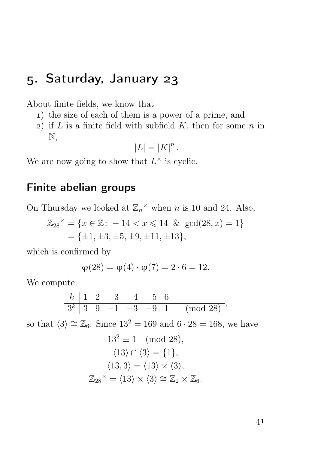# . Saturday, January

About finite fields, we know that

- ) the size of each of them is a power of a prime, and
- 2) if  $L$  is a finite field with subfield  $K$ , then for some  $n$  in N,

$$
|L| = |K|^n.
$$

We are now going to show that  $L^{\times}$  is cyclic.

# Finite abelian groups

On Thursday we looked at  $\mathbb{Z}_n^{\times}$  when *n* is 10 and 24. Also,

$$
\mathbb{Z}_{28}^{\times} = \{x \in \mathbb{Z} : -14 < x \leq 14 \, \& \gcd(28, x) = 1\} \\
= \{\pm 1, \pm 3, \pm 5, \pm 9, \pm 11, \pm 13\},
$$

which is confirmed by

$$
\varphi(28) = \varphi(4) \cdot \varphi(7) = 2 \cdot 6 = 12.
$$

We compute

$$
\begin{array}{c|cccccc}\nk & 1 & 2 & 3 & 4 & 5 & 6 \\
\hline\n3^k & 3 & 9 & -1 & -3 & -9 & 1 & \pmod{28} \end{array}
$$

so that  $\langle 3 \rangle \cong \mathbb{Z}_6$ . Since  $13^2 = 169$  and  $6 \cdot 28 = 168$ , we have

$$
13^2 \equiv 1 \pmod{28},
$$
  
\n
$$
\langle 13 \rangle \cap \langle 3 \rangle = \{1\},
$$
  
\n
$$
\langle 13, 3 \rangle = \langle 13 \rangle \times \langle 3 \rangle,
$$
  
\n
$$
\mathbb{Z}_{28}^{\times} = \langle 13 \rangle \times \langle 3 \rangle \cong \mathbb{Z}_{2} \times \mathbb{Z}_{6}.
$$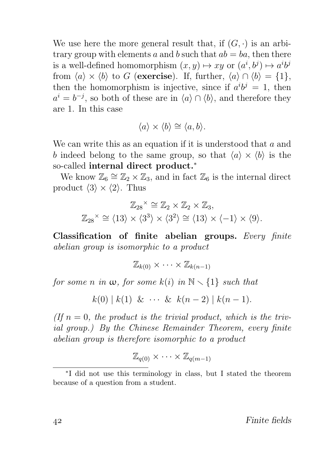We use here the more general result that, if  $(G, \cdot)$  is an arbitrary group with elements a and b such that  $ab = ba$ , then there is a well-defined homomorphism  $(x, y) \mapsto xy$  or  $(a^i, b^j) \mapsto a^i b^j$ from  $\langle a \rangle \times \langle b \rangle$  to G (exercise). If, further,  $\langle a \rangle \cap \langle b \rangle = \{1\},\$ then the homomorphism is injective, since if  $a^i b^j = 1$ , then  $a^i = b^{-j}$ , so both of these are in  $\langle a \rangle \cap \langle b \rangle$ , and therefore they are 1. In this case

$$
\langle a \rangle \times \langle b \rangle \cong \langle a, b \rangle.
$$

We can write this as an equation if it is understood that  $a$  and b indeed belong to the same group, so that  $\langle a \rangle \times \langle b \rangle$  is the so-called internal direct product.<sup>∗</sup>

We know  $\mathbb{Z}_6 \cong \mathbb{Z}_2 \times \mathbb{Z}_3$ , and in fact  $\mathbb{Z}_6$  is the internal direct product  $\langle 3 \rangle \times \langle 2 \rangle$ . Thus

$$
\mathbb{Z}_{28}^{\times} \cong \mathbb{Z}_2 \times \mathbb{Z}_2 \times \mathbb{Z}_3,
$$
  

$$
\mathbb{Z}_{28}^{\times} \cong \langle 13 \rangle \times \langle 3^3 \rangle \times \langle 3^2 \rangle \cong \langle 13 \rangle \times \langle -1 \rangle \times \langle 9 \rangle.
$$

Classification of finite abelian groups. Every finite abelian group is isomorphic to a product

$$
\mathbb{Z}_{k(0)} \times \cdots \times \mathbb{Z}_{k(n-1)}
$$

for some n in  $\omega$ , for some  $k(i)$  in  $\mathbb{N} \setminus \{1\}$  such that

$$
k(0) | k(1) \& \cdots \& k(n-2) | k(n-1).
$$

(If  $n = 0$ , the product is the trivial product, which is the trivial group.) By the Chinese Remainder Theorem, every finite abelian group is therefore isomorphic to a product

$$
\mathbb{Z}_{q(0)} \times \cdots \times \mathbb{Z}_{q(m-1)}
$$

<sup>∗</sup> I did not use this terminology in class, but I stated the theorem because of a question from a student.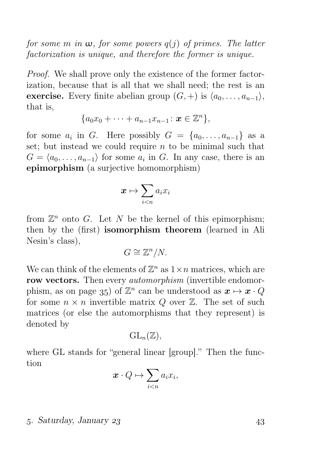for some m in  $\omega$ , for some powers  $q(j)$  of primes. The latter factorization is unique, and therefore the former is unique.

Proof. We shall prove only the existence of the former factorization, because that is all that we shall need; the rest is an exercise. Every finite abelian group  $(G,+)$  is  $\langle a_0, \ldots, a_{n-1} \rangle$ , that is,

$$
\{a_0x_0 + \cdots + a_{n-1}x_{n-1} : \mathbf{x} \in \mathbb{Z}^n\},\
$$

for some  $a_i$  in G. Here possibly  $G = \{a_0, \ldots, a_{n-1}\}\$ as a set; but instead we could require  $n$  to be minimal such that  $G = \langle a_0, \ldots, a_{n-1} \rangle$  for some  $a_i$  in G. In any case, there is an epimorphism (a surjective homomorphism)

$$
\boldsymbol{x} \mapsto \sum_{i
$$

from  $\mathbb{Z}^n$  onto G. Let N be the kernel of this epimorphism; then by the (first) isomorphism theorem (learned in Ali Nesin's class),

$$
G \cong \mathbb{Z}^n/N.
$$

We can think of the elements of  $\mathbb{Z}^n$  as  $1 \times n$  matrices, which are row vectors. Then every *automorphism* (invertible endomorphism, as on page 35) of  $\mathbb{Z}^n$  can be understood as  $\mathbf{x} \mapsto \mathbf{x} \cdot Q$ for some  $n \times n$  invertible matrix Q over  $\mathbb{Z}$ . The set of such matrices (or else the automorphisms that they represent) is denoted by

$$
\mathrm{GL}_{n}(\mathbb{Z}),
$$

where GL stands for "general linear [group]." Then the function

$$
\boldsymbol{x} \cdot Q \mapsto \sum_{i < n} a_i x_i,
$$

#### . Saturday, January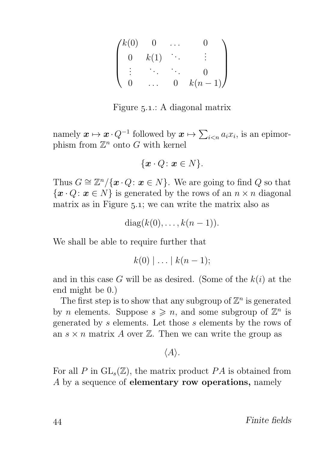| /k(0) |      |   |          |
|-------|------|---|----------|
|       | k(1) |   |          |
|       |      |   |          |
|       |      | 0 | $k(n-1)$ |

Figure 5.1.: A diagonal matrix

namely  $x \mapsto x \cdot Q^{-1}$  followed by  $x \mapsto \sum_{i \leq n} a_i x_i$ , is an epimorphism from  $\mathbb{Z}^n$  onto G with kernel

$$
\{\boldsymbol{x} \cdot Q \colon \boldsymbol{x} \in N\}.
$$

Thus  $G \cong \mathbb{Z}^n / \{ \boldsymbol{x} \cdot Q : \boldsymbol{x} \in N \}$ . We are going to find  $Q$  so that  $\{\boldsymbol{x} \cdot Q : \boldsymbol{x} \in N\}$  is generated by the rows of an  $n \times n$  diagonal matrix as in Figure  $5.1$ ; we can write the matrix also as

 $diag(k(0), \ldots, k(n-1)).$ 

We shall be able to require further that

 $k(0) \mid ... \mid k(n-1);$ 

and in this case G will be as desired. (Some of the  $k(i)$  at the end might be 0.)

The first step is to show that any subgroup of  $\mathbb{Z}^n$  is generated by *n* elements. Suppose  $s \geq n$ , and some subgroup of  $\mathbb{Z}^n$  is generated by s elements. Let those s elements by the rows of an  $s \times n$  matrix A over  $\mathbb{Z}$ . Then we can write the group as

 $\langle A \rangle$ .

For all P in  $GL_s(\mathbb{Z})$ , the matrix product PA is obtained from A by a sequence of elementary row operations, namely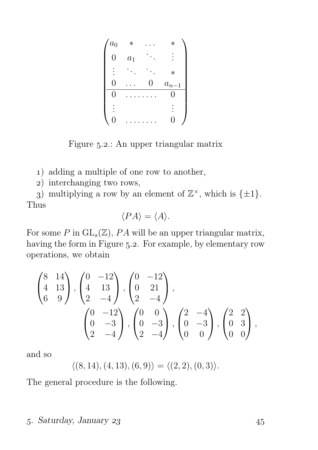$$
\begin{pmatrix} a_0 & * & \cdots & * \\ 0 & a_1 & \ddots & \vdots \\ \vdots & \ddots & \ddots & * \\ 0 & \cdots & 0 & a_{n-1} \\ 0 & \cdots & \cdots & 0 \\ \vdots & & & \vdots \\ 0 & \cdots & \cdots & 0 \end{pmatrix}
$$

Figure 5.2.: An upper triangular matrix

) adding a multiple of one row to another,

) interchanging two rows,

3) multiplying a row by an element of  $\mathbb{Z}^{\times}$ , which is  $\{\pm 1\}$ . Thus

$$
\langle PA \rangle = \langle A \rangle.
$$

For some P in  $GL_s(\mathbb{Z})$ , PA will be an upper triangular matrix, having the form in Figure 5.2. For example, by elementary row operations, we obtain

$$
\begin{pmatrix}\n8 & 14 \\
4 & 13 \\
6 & 9\n\end{pmatrix}, \begin{pmatrix}\n0 & -12 \\
4 & 13 \\
2 & -4\n\end{pmatrix}, \begin{pmatrix}\n0 & -12 \\
0 & 21 \\
2 & -4\n\end{pmatrix}, \\
\begin{pmatrix}\n0 & -12 \\
0 & -3 \\
2 & -4\n\end{pmatrix}, \begin{pmatrix}\n0 & 0 \\
0 & -3 \\
2 & -4\n\end{pmatrix}, \begin{pmatrix}\n2 & -4 \\
0 & -3 \\
0 & 0\n\end{pmatrix}, \begin{pmatrix}\n2 & 2 \\
0 & 3 \\
0 & 0\n\end{pmatrix},
$$

and so

$$
\langle (8, 14), (4, 13), (6, 9) \rangle = \langle (2, 2), (0, 3) \rangle.
$$

The general procedure is the following.

#### . Saturday, January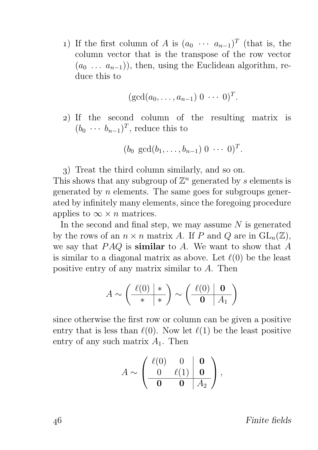1) If the first column of A is  $(a_0 \cdots a_{n-1})^T$  (that is, the column vector that is the transpose of the row vector  $(a_0 \ldots a_{n-1})$ , then, using the Euclidean algorithm, reduce this to

$$
(\gcd(a_0,\ldots,a_{n-1})\;0\;\cdots\;0)^T.
$$

) If the second column of the resulting matrix is  $(b_0 \cdots b_{n-1})^T$ , reduce this to

$$
(b_0 \gcd(b_1,\ldots,b_{n-1}) 0 \cdots 0)^T.
$$

) Treat the third column similarly, and so on.

This shows that any subgroup of  $\mathbb{Z}^n$  generated by s elements is generated by  $n$  elements. The same goes for subgroups generated by infinitely many elements, since the foregoing procedure applies to  $\infty \times n$  matrices.

In the second and final step, we may assume  $N$  is generated by the rows of an  $n \times n$  matrix A. If P and Q are in  $GL_n(\mathbb{Z})$ , we say that  $PAQ$  is **similar** to A. We want to show that A is similar to a diagonal matrix as above. Let  $\ell(0)$  be the least positive entry of any matrix similar to A. Then

$$
A \sim \left(\begin{array}{c|c} \ell(0) & * \\ * & * \end{array}\right) \sim \left(\begin{array}{c|c} \ell(0) & \mathbf{0} \\ \hline \mathbf{0} & A_1 \end{array}\right)
$$

since otherwise the first row or column can be given a positive entry that is less than  $\ell(0)$ . Now let  $\ell(1)$  be the least positive entry of any such matrix  $A_1$ . Then

$$
A \sim \left(\begin{array}{cc|cc}\ell(0) & 0 & \mathbf{0} \\
\hline 0 & \ell(1) & \mathbf{0} \\
\hline \mathbf{0} & \mathbf{0} & A_2\n\end{array}\right),
$$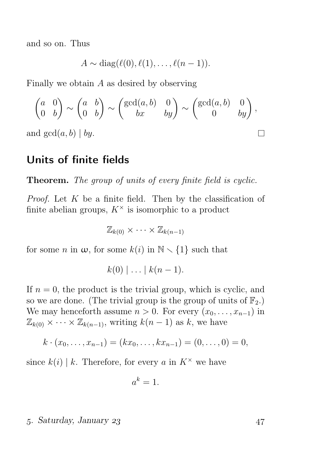and so on. Thus

$$
A \sim \mathrm{diag}(\ell(0), \ell(1), \ldots, \ell(n-1)).
$$

Finally we obtain A as desired by observing

$$
\begin{pmatrix} a & 0 \\ 0 & b \end{pmatrix} \sim \begin{pmatrix} a & b \\ 0 & b \end{pmatrix} \sim \begin{pmatrix} \gcd(a, b) & 0 \\ bx & by \end{pmatrix} \sim \begin{pmatrix} \gcd(a, b) & 0 \\ 0 & by \end{pmatrix},
$$
  
and  $\gcd(a, b) | by.$ 

# Units of finite fields

Theorem. The group of units of every finite field is cyclic.

*Proof.* Let  $K$  be a finite field. Then by the classification of finite abelian groups,  $K^{\times}$  is isomorphic to a product

 $\mathbb{Z}_{k(0)} \times \cdots \times \mathbb{Z}_{k(n-1)}$ 

for some n in  $\omega$ , for some  $k(i)$  in  $\mathbb{N} \setminus \{1\}$  such that

$$
k(0) \mid \ldots \mid k(n-1).
$$

If  $n = 0$ , the product is the trivial group, which is cyclic, and so we are done. (The trivial group is the group of units of  $\mathbb{F}_2$ .) We may henceforth assume  $n > 0$ . For every  $(x_0, \ldots, x_{n-1})$  in  $\mathbb{Z}_{k(0)} \times \cdots \times \mathbb{Z}_{k(n-1)}$ , writing  $k(n-1)$  as k, we have

$$
k \cdot (x_0, \ldots, x_{n-1}) = (kx_0, \ldots, kx_{n-1}) = (0, \ldots, 0) = 0,
$$

since  $k(i) \mid k$ . Therefore, for every a in  $K^{\times}$  we have

$$
a^k=1.
$$

#### . Saturday, January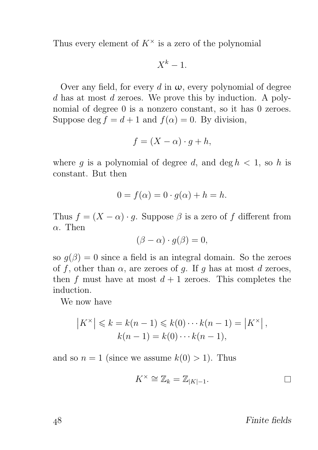Thus every element of  $K^{\times}$  is a zero of the polynomial

$$
X^k-1.
$$

Over any field, for every d in  $\omega$ , every polynomial of degree d has at most d zeroes. We prove this by induction. A polynomial of degree 0 is a nonzero constant, so it has 0 zeroes. Suppose deg  $f = d + 1$  and  $f(\alpha) = 0$ . By division,

$$
f = (X - \alpha) \cdot g + h,
$$

where q is a polynomial of degree d, and deg  $h < 1$ , so h is constant. But then

$$
0 = f(\alpha) = 0 \cdot g(\alpha) + h = h.
$$

Thus  $f = (X - \alpha) \cdot q$ . Suppose  $\beta$  is a zero of f different from  $\alpha$ . Then

$$
(\beta - \alpha) \cdot g(\beta) = 0,
$$

so  $q(\beta) = 0$  since a field is an integral domain. So the zeroes of f, other than  $\alpha$ , are zeroes of g. If g has at most d zeroes, then f must have at most  $d+1$  zeroes. This completes the induction.

We now have

$$
|K^*| \le k = k(n-1) \le k(0) \cdots k(n-1) = |K^*|,
$$
  
\n $k(n-1) = k(0) \cdots k(n-1),$ 

and so  $n = 1$  (since we assume  $k(0) > 1$ ). Thus

$$
K^{\times} \cong \mathbb{Z}_k = \mathbb{Z}_{|K|-1}.
$$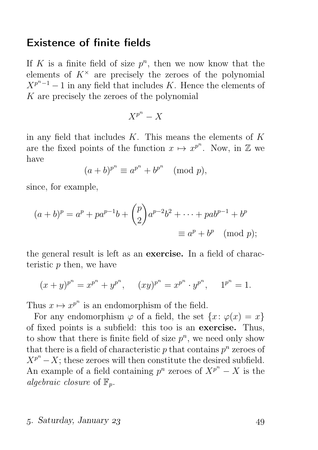### Existence of finite fields

If K is a finite field of size  $p^n$ , then we now know that the elements of  $K^{\times}$  are precisely the zeroes of the polynomial  $X^{p^{n}-1}-1$  in any field that includes K. Hence the elements of K are precisely the zeroes of the polynomial

$$
X^{p^n} - X
$$

in any field that includes  $K$ . This means the elements of  $K$ are the fixed points of the function  $x \mapsto x^{p^n}$ . Now, in Z we have

$$
(a+b)^{p^n} \equiv a^{p^n} + b^{p^n} \pmod{p},
$$

since, for example,

$$
(a+b)^p = a^p + pa^{p-1}b + \binom{p}{2}a^{p-2}b^2 + \dots + pab^{p-1} + b^p
$$
  
\n
$$
\equiv a^p + b^p \pmod{p};
$$

the general result is left as an exercise. In a field of characteristic  $p$  then, we have

$$
(x+y)^{p^n} = x^{p^n} + y^{p^n}, \quad (xy)^{p^n} = x^{p^n} \cdot y^{p^n}, \quad 1^{p^n} = 1.
$$

Thus  $x \mapsto x^{p^n}$  is an endomorphism of the field.

For any endomorphism  $\varphi$  of a field, the set  $\{x: \varphi(x) = x\}$ of fixed points is a subfield: this too is an exercise. Thus, to show that there is finite field of size  $p^n$ , we need only show that there is a field of characteristic  $p$  that contains  $p^n$  zeroes of  $X^{p^n} - X$ ; these zeroes will then constitute the desired subfield. An example of a field containing  $p^n$  zeroes of  $X^{p^n} - X$  is the algebraic closure of  $\mathbb{F}_n$ .

#### . Saturday, January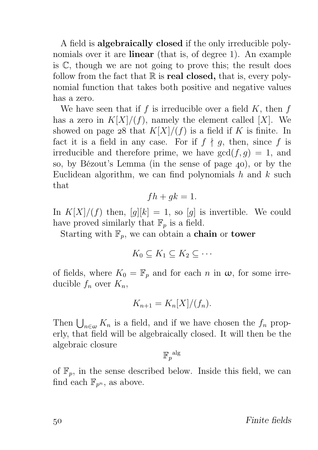A field is algebraically closed if the only irreducible polynomials over it are **linear** (that is, of degree 1). An example is C, though we are not going to prove this; the result does follow from the fact that  $\mathbb R$  is **real closed**, that is, every polynomial function that takes both positive and negative values has a zero.

We have seen that if f is irreducible over a field  $K$ , then f has a zero in  $K[X]/(f)$ , namely the element called [X]. We showed on page 28 that  $K[X]/(f)$  is a field if K is finite. In fact it is a field in any case. For if  $f \nmid q$ , then, since f is irreducible and therefore prime, we have  $gcd(f, g) = 1$ , and so, by Bézout's Lemma (in the sense of page  $40$ ), or by the Euclidean algorithm, we can find polynomials  $h$  and  $k$  such that

$$
fh + gk = 1.
$$

In  $K[X]/(f)$  then,  $[g][k] = 1$ , so  $[g]$  is invertible. We could have proved similarly that  $\mathbb{F}_p$  is a field.

Starting with  $\mathbb{F}_p$ , we can obtain a **chain** or **tower** 

$$
K_0 \subseteq K_1 \subseteq K_2 \subseteq \cdots
$$

of fields, where  $K_0 = \mathbb{F}_p$  and for each n in  $\omega$ , for some irreducible  $f_n$  over  $K_n$ ,

$$
K_{n+1} = K_n[X]/(f_n).
$$

Then  $\bigcup_{n\in\omega} K_n$  is a field, and if we have chosen the  $f_n$  properly, that field will be algebraically closed. It will then be the algebraic closure

$$
\mathbb{F}_p^{\text{ alg}}
$$

of  $\mathbb{F}_p$ , in the sense described below. Inside this field, we can find each  $\mathbb{F}_{p^n}$ , as above.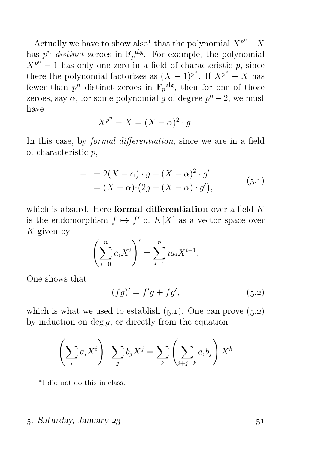Actually we have to show also<sup>\*</sup> that the polynomial  $X^{p^n} - X$ has  $p^n$  distinct zeroes in  $\mathbb{F}_p^{\text{alg}}$ . For example, the polynomial  $X^{p^n} - 1$  has only one zero in a field of characteristic p, since there the polynomial factorizes as  $(X-1)^{p^n}$ . If  $X^{p^n} - X$  has fewer than  $p^n$  distinct zeroes in  $\mathbb{F}_p^{\text{alg}}$ , then for one of those zeroes, say  $\alpha$ , for some polynomial g of degree  $p^{n}-2$ , we must have

$$
X^{p^n} - X = (X - \alpha)^2 \cdot g.
$$

In this case, by formal differentiation, since we are in a field of characteristic p,

$$
-1 = 2(X - \alpha) \cdot g + (X - \alpha)^2 \cdot g'
$$
  
=  $(X - \alpha) \cdot (2g + (X - \alpha) \cdot g')$ , (5.1)

which is absurd. Here formal differentiation over a field  $K$ is the endomorphism  $f \mapsto f'$  of  $K[X]$  as a vector space over  $K$  given by

$$
\left(\sum_{i=0}^{n} a_i X^i\right)' = \sum_{i=1}^{n} i a_i X^{i-1}.
$$

One shows that

$$
(fg)' = f'g + fg',\tag{5.2}
$$

which is what we used to establish  $(5.1)$ . One can prove  $(5.2)$ by induction on deg  $q$ , or directly from the equation

$$
\left(\sum_{i} a_{i} X^{i}\right) \cdot \sum_{j} b_{j} X^{j} = \sum_{k} \left(\sum_{i+j=k} a_{i} b_{j}\right) X^{k}
$$

∗ I did not do this in class.

#### . Saturday, January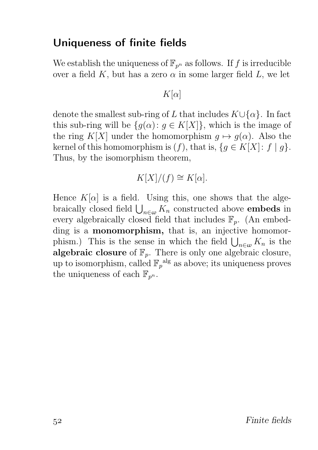# Uniqueness of finite fields

We establish the uniqueness of  $\mathbb{F}_{p^n}$  as follows. If f is irreducible over a field K, but has a zero  $\alpha$  in some larger field L, we let

 $K[\alpha]$ 

denote the smallest sub-ring of L that includes  $K \cup \{\alpha\}$ . In fact this sub-ring will be  $\{g(\alpha): g \in K[X]\}$ , which is the image of the ring K[X] under the homomorphism  $q \mapsto q(\alpha)$ . Also the kernel of this homomorphism is  $(f)$ , that is,  $\{g \in K[X]: f \mid g\}.$ Thus, by the isomorphism theorem,

$$
K[X]/(f) \cong K[\alpha].
$$

Hence  $K[\alpha]$  is a field. Using this, one shows that the algebraically closed field  $\bigcup_{n\in\omega} K_n$  constructed above **embeds** in every algebraically closed field that includes  $\mathbb{F}_p$ . (An embedding is a **monomorphism**, that is, an injective homomorphism.) This is the sense in which the field  $\bigcup_{n\in\omega}K_n$  is the algebraic closure of  $\mathbb{F}_p$ . There is only one algebraic closure, up to isomorphism, called  $\mathbb{F}_p^{\text{alg}}$  as above; its uniqueness proves the uniqueness of each  $\mathbb{F}_{p^n}$ .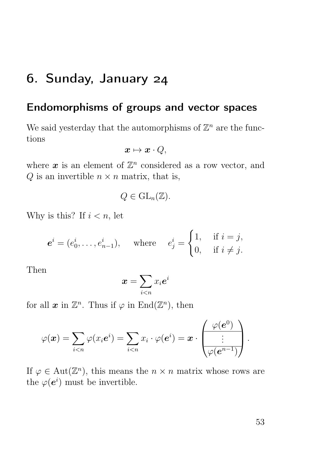# . Sunday, January

# Endomorphisms of groups and vector spaces

We said yesterday that the automorphisms of  $\mathbb{Z}^n$  are the functions

$$
\boldsymbol{x} \mapsto \boldsymbol{x} \cdot Q,
$$

where  $\boldsymbol{x}$  is an element of  $\mathbb{Z}^n$  considered as a row vector, and  $Q$  is an invertible  $n \times n$  matrix, that is,

$$
Q\in \mathrm{GL}_n(\mathbb{Z}).
$$

Why is this? If  $i < n$ , let

$$
\mathbf{e}^i = (e_0^i, \dots, e_{n-1}^i), \quad \text{where} \quad e_j^i = \begin{cases} 1, & \text{if } i = j, \\ 0, & \text{if } i \neq j. \end{cases}
$$

Then

$$
\bm{x}=\sum_{i
$$

for all  $x$  in  $\mathbb{Z}^n$ . Thus if  $\varphi$  in  $\text{End}(\mathbb{Z}^n)$ , then

$$
\varphi(\boldsymbol{x}) = \sum_{i
$$

If  $\varphi \in \text{Aut}(\mathbb{Z}^n)$ , this means the  $n \times n$  matrix whose rows are the  $\varphi(e^i)$  must be invertible.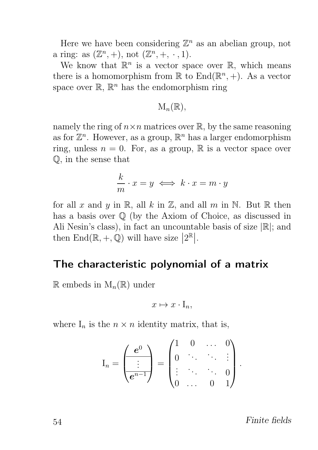Here we have been considering  $\mathbb{Z}^n$  as an abelian group, not a ring: as  $(\mathbb{Z}^n, +)$ , not  $(\mathbb{Z}^n, +, \cdot, 1)$ .

We know that  $\mathbb{R}^n$  is a vector space over  $\mathbb{R}$ , which means there is a homomorphism from  $\mathbb R$  to  $\text{End}(\mathbb R^n, +)$ . As a vector space over  $\mathbb{R}, \mathbb{R}^n$  has the endomorphism ring

$$
\mathrm{M}_n(\mathbb{R}),
$$

namely the ring of  $n \times n$  matrices over  $\mathbb{R}$ , by the same reasoning as for  $\mathbb{Z}^n$ . However, as a group,  $\mathbb{R}^n$  has a larger endomorphism ring, unless  $n = 0$ . For, as a group, R is a vector space over Q, in the sense that

$$
\frac{k}{m} \cdot x = y \iff k \cdot x = m \cdot y
$$

for all x and y in R, all k in Z, and all m in N. But R then has a basis over  $\mathbb Q$  (by the Axiom of Choice, as discussed in Ali Nesin's class), in fact an uncountable basis of size  $\mathbb{R}$ ; and then  $\text{End}(\mathbb{R}, +, \mathbb{Q})$  will have size  $|2^{\mathbb{R}}|$ .

### The characteristic polynomial of a matrix

 $\mathbb R$  embeds in  $M_n(\mathbb R)$  under

$$
x \mapsto x \cdot I_n,
$$

where  $I_n$  is the  $n \times n$  identity matrix, that is,

$$
\mathbf{I}_n = \begin{pmatrix} \mathbf{e}^0 \\ \vdots \\ \mathbf{e}^{n-1} \end{pmatrix} = \begin{pmatrix} 1 & 0 & \dots & 0 \\ 0 & \ddots & \ddots & \vdots \\ \vdots & \ddots & \ddots & 0 \\ 0 & \dots & 0 & 1 \end{pmatrix}
$$

54 Finite fields

.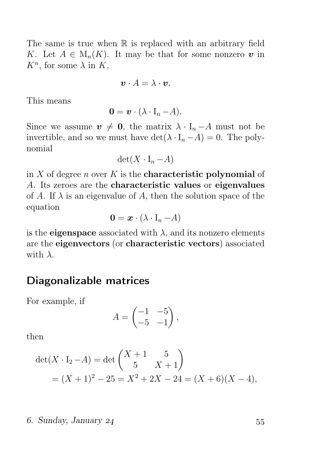The same is true when  $\mathbb R$  is replaced with an arbitrary field K. Let  $A \in M_n(K)$ . It may be that for some nonzero v in  $K^n$ , for some  $\lambda$  in  $K$ ,

$$
\boldsymbol{v}\cdot A=\lambda\cdot\boldsymbol{v}.
$$

This means

$$
\mathbf{0} = \mathbf{v} \cdot (\lambda \cdot \mathbf{I}_n - A).
$$

Since we assume  $v \neq 0$ , the matrix  $\lambda \cdot I_n - A$  must not be invertible, and so we must have  $\det(\lambda \cdot I_n - A) = 0$ . The polynomial

$$
\det(X \cdot I_n - A)
$$

in X of degree n over K is the **characteristic polynomial** of A. Its zeroes are the characteristic values or eigenvalues of A. If  $\lambda$  is an eigenvalue of A, then the solution space of the equation

$$
\mathbf{0} = \boldsymbol{x} \cdot (\lambda \cdot \mathbf{I}_n - A)
$$

is the **eigenspace** associated with  $\lambda$ , and its nonzero elements are the eigenvectors (or characteristic vectors) associated with  $\lambda$ .

### Diagonalizable matrices

For example, if

$$
A = \begin{pmatrix} -1 & -5 \\ -5 & -1 \end{pmatrix},
$$

then

$$
det(X \cdot I_2 - A) = det\begin{pmatrix} X+1 & 5 \\ 5 & X+1 \end{pmatrix}
$$
  
=  $(X + 1)^2 - 25 = X^2 + 2X - 24 = (X + 6)(X - 4),$ 

. Sunday, January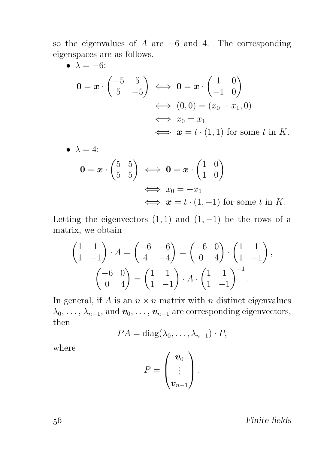so the eigenvalues of  $A$  are  $-6$  and  $4$ . The corresponding eigenspaces are as follows.<br>  $\bullet \quad \lambda = -6$ .

$$
\begin{aligned}\n\bullet \ \lambda &= -6; \\
\mathbf{0} &= \mathbf{x} \cdot \begin{pmatrix} -5 & 5 \\ 5 & -5 \end{pmatrix} \iff \mathbf{0} = \mathbf{x} \cdot \begin{pmatrix} 1 & 0 \\ -1 & 0 \end{pmatrix} \\
&\iff (0,0) = (x_0 - x_1, 0) \\
&\iff x_0 = x_1 \\
&\iff \mathbf{x} = t \cdot (1,1) \text{ for some } t \text{ in } K.\n\end{aligned}
$$

$$
\mathbf{0} = \mathbf{x} \cdot \begin{pmatrix} 5 & 5 \\ 5 & 5 \end{pmatrix} \iff \mathbf{0} = \mathbf{x} \cdot \begin{pmatrix} 1 & 0 \\ 1 & 0 \end{pmatrix}
$$
  
\n
$$
\iff x_0 = -x_1
$$
  
\n
$$
\iff \mathbf{x} = t \cdot (1, -1) \text{ for some } t \text{ in } K.
$$

Letting the eigenvectors  $(1, 1)$  and  $(1, -1)$  be the rows of a matrix, we obtain

$$
\begin{pmatrix} 1 & 1 \ 1 & -1 \end{pmatrix} \cdot A = \begin{pmatrix} -6 & -6 \ 4 & -4 \end{pmatrix} = \begin{pmatrix} -6 & 0 \ 0 & 4 \end{pmatrix} \cdot \begin{pmatrix} 1 & 1 \ 1 & -1 \end{pmatrix},
$$

$$
\begin{pmatrix} -6 & 0 \ 0 & 4 \end{pmatrix} = \begin{pmatrix} 1 & 1 \ 1 & -1 \end{pmatrix} \cdot A \cdot \begin{pmatrix} 1 & 1 \ 1 & -1 \end{pmatrix}^{-1}.
$$

In general, if A is an  $n \times n$  matrix with n distinct eigenvalues  $\lambda_0, \ldots, \lambda_{n-1}$ , and  $\mathbf{v}_0, \ldots, \mathbf{v}_{n-1}$  are corresponding eigenvectors, then

$$
PA = \text{diag}(\lambda_0, \ldots, \lambda_{n-1}) \cdot P,
$$

where

•  $\lambda = 4$ 

$$
P=\left(\begin{array}{c}\boldsymbol{v}_0\\ \vdots\\ \boldsymbol{v}_{n-1}\end{array}\right).
$$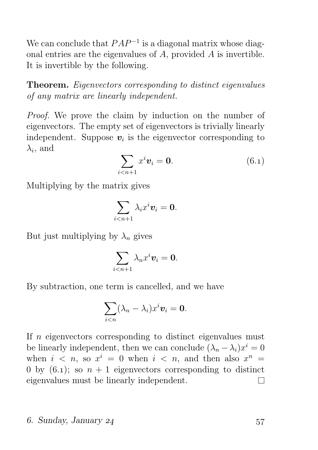We can conclude that  $PAP^{-1}$  is a diagonal matrix whose diagonal entries are the eigenvalues of A, provided A is invertible. It is invertible by the following.

Theorem. Eigenvectors corresponding to distinct eigenvalues of any matrix are linearly independent.

Proof. We prove the claim by induction on the number of eigenvectors. The empty set of eigenvectors is trivially linearly independent. Suppose  $\mathbf{v}_i$  is the eigenvector corresponding to  $\lambda_i$ , and

$$
\sum_{i
$$

Multiplying by the matrix gives

$$
\sum_{i
$$

But just multiplying by  $\lambda_n$  gives

$$
\sum_{i
$$

By subtraction, one term is cancelled, and we have

$$
\sum_{i
$$

If  $n$  eigenvectors corresponding to distinct eigenvalues must be linearly independent, then we can conclude  $(\lambda_n - \lambda_i)x^i = 0$ when  $i \leq n$ , so  $x^i = 0$  when  $i \leq n$ , and then also  $x^n =$ 0 by (6.1); so  $n + 1$  eigenvectors corresponding to distinct eigenvalues must be linearly independent.  $\Box$ 

#### . Sunday, January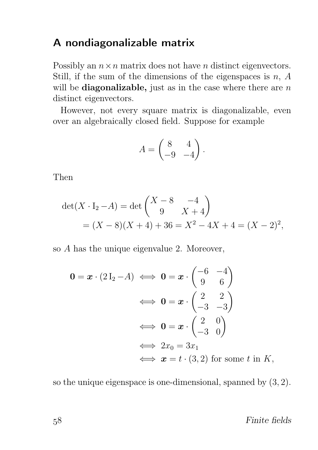### A nondiagonalizable matrix

Possibly an  $n \times n$  matrix does not have *n* distinct eigenvectors. Still, if the sum of the dimensions of the eigenspaces is  $n, A$ will be **diagonalizable**, just as in the case where there are  $n$ distinct eigenvectors.

However, not every square matrix is diagonalizable, even over an algebraically closed field. Suppose for example

$$
A = \begin{pmatrix} 8 & 4 \\ -9 & -4 \end{pmatrix}.
$$

Then

$$
det(X \cdot I_2 - A) = det\begin{pmatrix} X - 8 & -4 \\ 9 & X + 4 \end{pmatrix}
$$
  
=  $(X - 8)(X + 4) + 36 = X^2 - 4X + 4 = (X - 2)^2,$ 

so A has the unique eigenvalue 2. Moreover,

$$
\mathbf{0} = \mathbf{x} \cdot (2 \mathbf{I}_2 - A) \iff \mathbf{0} = \mathbf{x} \cdot \begin{pmatrix} -6 & -4 \\ 9 & 6 \end{pmatrix}
$$

$$
\iff \mathbf{0} = \mathbf{x} \cdot \begin{pmatrix} 2 & 2 \\ -3 & -3 \end{pmatrix}
$$

$$
\iff \mathbf{0} = \mathbf{x} \cdot \begin{pmatrix} 2 & 0 \\ -3 & 0 \end{pmatrix}
$$

$$
\iff 2x_0 = 3x_1
$$

$$
\iff \mathbf{x} = t \cdot (3, 2) \text{ for some } t \text{ in } K,
$$

so the unique eigenspace is one-dimensional, spanned by (3, 2).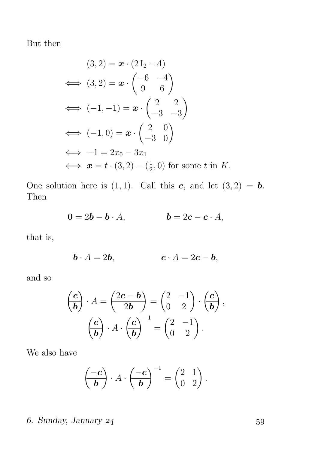But then

$$
(3,2) = \mathbf{x} \cdot (2I_2 - A)
$$
  
\n
$$
\iff (3,2) = \mathbf{x} \cdot \begin{pmatrix} -6 & -4 \\ 9 & 6 \end{pmatrix}
$$
  
\n
$$
\iff (-1,-1) = \mathbf{x} \cdot \begin{pmatrix} 2 & 2 \\ -3 & -3 \end{pmatrix}
$$
  
\n
$$
\iff (-1,0) = \mathbf{x} \cdot \begin{pmatrix} 2 & 0 \\ -3 & 0 \end{pmatrix}
$$
  
\n
$$
\iff -1 = 2x_0 - 3x_1
$$
  
\n
$$
\iff \mathbf{x} = t \cdot (3,2) - (\frac{1}{2},0) \text{ for some } t \text{ in } K.
$$

One solution here is  $(1, 1)$ . Call this c, and let  $(3, 2) = b$ . Then

$$
\mathbf{0} = 2\mathbf{b} - \mathbf{b} \cdot A, \qquad \qquad \mathbf{b} = 2\mathbf{c} - \mathbf{c} \cdot A,
$$

that is,

$$
\mathbf{b} \cdot A = 2\mathbf{b}, \qquad \qquad \mathbf{c} \cdot A = 2\mathbf{c} - \mathbf{b},
$$

and so

$$
\begin{pmatrix}\n\mathbf{c} \\
\mathbf{b}\n\end{pmatrix} \cdot A = \begin{pmatrix}\n2\mathbf{c} - \mathbf{b} \\
2\mathbf{b}\n\end{pmatrix} = \begin{pmatrix}\n2 & -1 \\
0 & 2\n\end{pmatrix} \cdot \begin{pmatrix}\n\mathbf{c} \\
\mathbf{b}\n\end{pmatrix},
$$

$$
\begin{pmatrix}\n\mathbf{c} \\
\mathbf{b}\n\end{pmatrix} \cdot A \cdot \begin{pmatrix}\n\mathbf{c} \\
\mathbf{b}\n\end{pmatrix}^{-1} = \begin{pmatrix}\n2 & -1 \\
0 & 2\n\end{pmatrix}.
$$

We also have

$$
\left(\begin{array}{c}\n-c \\
\hline\n\end{array}\right) \cdot A \cdot \left(\begin{array}{c}\n-c \\
\hline\n\end{array}\right)^{-1} = \left(\begin{array}{cc} 2 & 1 \\
0 & 2 \end{array}\right).
$$

# . Sunday, January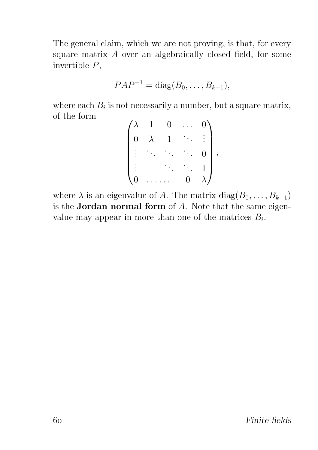The general claim, which we are not proving, is that, for every square matrix A over an algebraically closed field, for some invertible P,

$$
PAP^{-1} = \text{diag}(B_0, \ldots, B_{k-1}),
$$

where each  $B_i$  is not necessarily a number, but a square matrix, of the form

| $^\prime\lambda$    | $\mathbf{1}$ | $\vert 0 \vert$ |                  | $\overline{0}$ |  |
|---------------------|--------------|-----------------|------------------|----------------|--|
| $\overline{0}$      | $\lambda$    | $\mathbf{1}$    |                  |                |  |
| $\frac{1}{4}$       |              |                 |                  | $\overline{0}$ |  |
|                     |              |                 |                  |                |  |
| $\langle 0 \rangle$ |              |                 | $\boldsymbol{0}$ |                |  |

where  $\lambda$  is an eigenvalue of A. The matrix diag( $B_0, \ldots, B_{k-1}$ ) is the **Jordan normal form** of  $A$ . Note that the same eigenvalue may appear in more than one of the matrices  $B_i$ .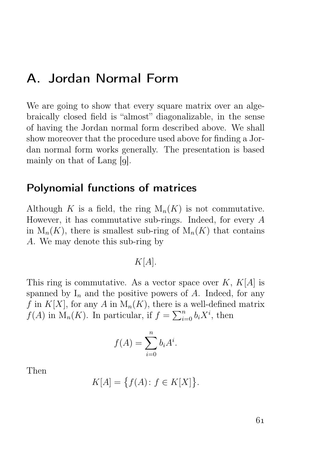# A. Jordan Normal Form

We are going to show that every square matrix over an algebraically closed field is "almost" diagonalizable, in the sense of having the Jordan normal form described above. We shall show moreover that the procedure used above for finding a Jordan normal form works generally. The presentation is based mainly on that of Lang  $[g]$ .

### Polynomial functions of matrices

Although K is a field, the ring  $M_n(K)$  is not commutative. However, it has commutative sub-rings. Indeed, for every  $A$ in  $M_n(K)$ , there is smallest sub-ring of  $M_n(K)$  that contains A. We may denote this sub-ring by

 $K[A]$ .

This ring is commutative. As a vector space over  $K, K[A]$  is spanned by  $I_n$  and the positive powers of A. Indeed, for any f in  $K[X]$ , for any A in  $M_n(K)$ , there is a well-defined matrix  $f(A)$  in  $M_n(K)$ . In particular, if  $f = \sum_{i=0}^n b_i X^i$ , then

$$
f(A) = \sum_{i=0}^{n} b_i A^i.
$$

Then

$$
K[A] = \big\{ f(A) \colon f \in K[X] \big\}.
$$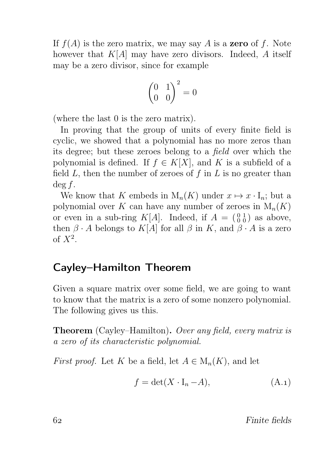If  $f(A)$  is the zero matrix, we may say A is a **zero** of f. Note however that  $K[A]$  may have zero divisors. Indeed, A itself may be a zero divisor, since for example

$$
\begin{pmatrix} 0 & 1 \\ 0 & 0 \end{pmatrix}^2 = 0
$$

(where the last 0 is the zero matrix).

In proving that the group of units of every finite field is cyclic, we showed that a polynomial has no more zeros than its degree; but these zeroes belong to a field over which the polynomial is defined. If  $f \in K[X]$ , and K is a subfield of a field  $L$ , then the number of zeroes of  $f$  in  $L$  is no greater than deg f.

We know that K embeds in  $M_n(K)$  under  $x \mapsto x \cdot I_n$ ; but a polynomial over K can have any number of zeroes in  $M_n(K)$ or even in a sub-ring  $K[A]$ . Indeed, if  $A = \begin{pmatrix} 0 & 1 \\ 0 & 0 \end{pmatrix}$  as above, then  $\beta \cdot A$  belongs to  $K[A]$  for all  $\beta$  in K, and  $\beta \cdot A$  is a zero of  $X^2$ .

# Cayley–Hamilton Theorem

Given a square matrix over some field, we are going to want to know that the matrix is a zero of some nonzero polynomial. The following gives us this.

Theorem (Cayley–Hamilton). Over any field, every matrix is a zero of its characteristic polynomial.

*First proof.* Let K be a field, let  $A \in M_n(K)$ , and let

$$
f = \det(X \cdot I_n - A), \tag{A.1}
$$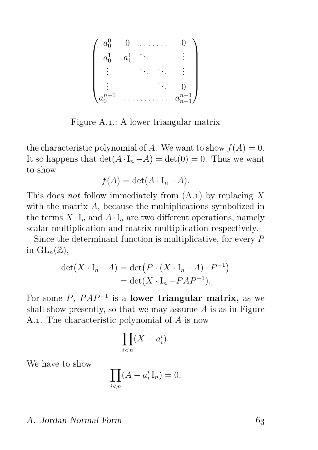$$
\begin{pmatrix} a_0^0 & 0 & \dots & 0 \\ a_0^1 & a_1^1 & \ddots & & \vdots \\ \vdots & & \ddots & \vdots \\ a_0^{n-1} & \dots & \dots & a_{n-1}^{n-1} \end{pmatrix}
$$

Figure A.1.: A lower triangular matrix

the characteristic polynomial of A. We want to show  $f(A) = 0$ . It so happens that  $\det(A \cdot I_n - A) = \det(0) = 0$ . Thus we want to show

$$
f(A) = \det(A \cdot I_n - A).
$$

This does not follow immediately from  $(A.1)$  by replacing X with the matrix A, because the multiplications symbolized in the terms  $X \cdot I_n$  and  $A \cdot I_n$  are two different operations, namely scalar multiplication and matrix multiplication respectively.

Since the determinant function is multiplicative, for every  $P$ in  $\mathrm{GL}_n(\mathbb{Z}),$ 

$$
\det(X \cdot I_n - A) = \det(P \cdot (X \cdot I_n - A) \cdot P^{-1})
$$
  
= 
$$
\det(X \cdot I_n - PAP^{-1}).
$$

For some  $P$ ,  $PAP^{-1}$  is a lower triangular matrix, as we shall show presently, so that we may assume  $A$  is as in Figure A.1. The characteristic polynomial of  $A$  is now

$$
\prod_{i
$$

We have to show

$$
\prod_{i
$$

#### A. Jordan Normal Form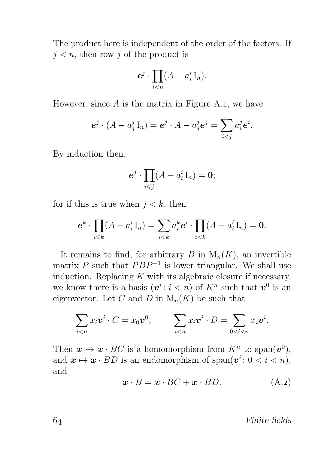The product here is independent of the order of the factors. If  $j < n$ , then row j of the product is

$$
e^j \cdot \prod_{i
$$

However, since  $A$  is the matrix in Figure A.1, we have

$$
\boldsymbol{e}^j \cdot (A - a_j^j \mathbf{I}_n) = \boldsymbol{e}^j \cdot A - a_j^j \boldsymbol{e}^j = \sum_{i < j} a_i^j \boldsymbol{e}^i.
$$

By induction then,

$$
\boldsymbol{e}^j\cdot \prod_{i\leqslant j}(A-a^i_i\operatorname{I}_n)=\boldsymbol{0};
$$

for if this is true when  $j < k$ , then

$$
\boldsymbol{e}^k \cdot \prod_{i \leq k} (A - a_i^i \mathbf{I}_n) = \sum_{i < k} a_i^k \boldsymbol{e}^i \cdot \prod_{i < k} (A - a_i^i \mathbf{I}_n) = \mathbf{0}.
$$

It remains to find, for arbitrary B in  $M_n(K)$ , an invertible matrix P such that  $PBP^{-1}$  is lower triangular. We shall use induction. Replacing  $K$  with its algebraic closure if necessary, we know there is a basis  $(v^i: i < n)$  of  $K^n$  such that  $v^0$  is an eigenvector. Let C and D in  $M_n(K)$  be such that

$$
\sum_{i
$$

Then  $\mathbf{x} \mapsto \mathbf{x} \cdot BC$  is a homomorphism from  $K^n$  to span $(\mathbf{v}^0)$ , and  $\mathbf{x} \mapsto \mathbf{x} \cdot BD$  is an endomorphism of span $(\mathbf{v}^i: 0 < i < n)$ , and

$$
\boldsymbol{x} \cdot \boldsymbol{B} = \boldsymbol{x} \cdot \boldsymbol{BC} + \boldsymbol{x} \cdot \boldsymbol{BD}.\tag{A.2}
$$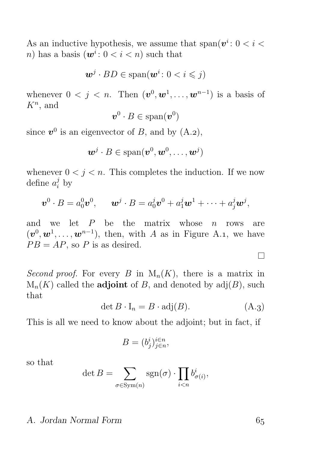As an inductive hypothesis, we assume that  $\text{span}(v^i: 0 \le i \le n)$ n) has a basis  $(\mathbf{w}^i: 0 < i < n)$  such that

$$
\boldsymbol{w}^j \cdot BD \in \text{span}(\boldsymbol{w}^i \colon 0 < i \leqslant j)
$$

whenever  $0 < j < n$ . Then  $(\boldsymbol{v}^0, \boldsymbol{w}^1, \dots, \boldsymbol{w}^{n-1})$  is a basis of  $K^n$ , and

$$
\bm{v}^0\cdot B\in\text{span}(\bm{v}^0)
$$

since  $v^0$  is an eigenvector of B, and by  $(A.2)$ ,

$$
\boldsymbol{w}^j \cdot B \in \mathrm{span}(\boldsymbol{v}^0, \boldsymbol{w}^0, \dots, \boldsymbol{w}^j)
$$

whenever  $0 < j < n$ . This completes the induction. If we now define  $a_i^j$  by

$$
\boldsymbol{v}^0\cdot B=a_0^0\boldsymbol{v}^0,\qquad \boldsymbol{w}^j\cdot B=a_0^j\boldsymbol{v}^0+a_1^j\boldsymbol{w}^1+\cdots+a_j^j\boldsymbol{w}^j,
$$

and we let  $P$  be the matrix whose  $n$  rows are  $(v^0, w^1, \ldots, w^{n-1})$ , then, with A as in Figure A.1, we have  $PB = AP$ , so P is as desired.

Second proof. For every B in  $M_n(K)$ , there is a matrix in  $M_n(K)$  called the **adjoint** of B, and denoted by  $adj(B)$ , such that

$$
\det B \cdot I_n = B \cdot \text{adj}(B). \tag{A.3}
$$

This is all we need to know about the adjoint; but in fact, if

$$
B = (b_j^i)_{j \in n}^{i \in n},
$$

so that

$$
\det B = \sum_{\sigma \in \text{Sym}(n)} \text{sgn}(\sigma) \cdot \prod_{i < n} b_{\sigma(i)}^i,
$$

#### A. Jordan Normal Form

 $\Box$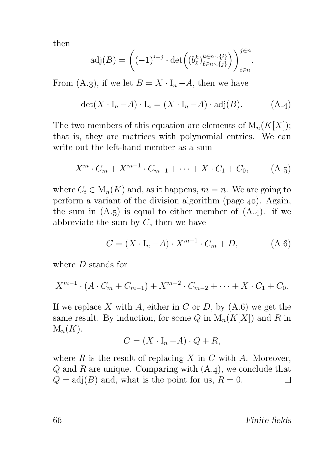then

$$
\mathrm{adj}(B) = \left( (-1)^{i+j} \cdot \det \left( (b_{\ell}^k)_{\ell \in n \smallsetminus \{j\}}^{k \in n \smallsetminus \{i\}} \right) \right)_{i \in n}^{j \in n}.
$$

From (A.3), if we let  $B = X \cdot I_n - A$ , then we have

$$
\det(X \cdot I_n - A) \cdot I_n = (X \cdot I_n - A) \cdot \text{adj}(B). \tag{A.4}
$$

The two members of this equation are elements of  $M_n(K[X])$ ; that is, they are matrices with polynomial entries. We can write out the left-hand member as a sum

$$
X^{m} \cdot C_{m} + X^{m-1} \cdot C_{m-1} + \dots + X \cdot C_{1} + C_{0}, \qquad (A.5)
$$

where  $C_i \in M_n(K)$  and, as it happens,  $m = n$ . We are going to perform a variant of the division algorithm (page  $40$ ). Again, the sum in  $(A.5)$  is equal to either member of  $(A.4)$ . if we abbreviate the sum by  $C$ , then we have

$$
C = (X \cdot I_n - A) \cdot X^{m-1} \cdot C_m + D,\tag{A.6}
$$

where D stands for

$$
X^{m-1} \cdot (A \cdot C_m + C_{m-1}) + X^{m-2} \cdot C_{m-2} + \cdots + X \cdot C_1 + C_0.
$$

If we replace X with A, either in C or D, by  $(A.6)$  we get the same result. By induction, for some Q in  $M_n(K[X])$  and R in  $M_n(K),$ 

$$
C = (X \cdot I_n - A) \cdot Q + R,
$$

where  $R$  is the result of replacing  $X$  in  $C$  with  $A$ . Moreover,  $Q$  and  $R$  are unique. Comparing with  $(A.4)$ , we conclude that  $Q = adj(B)$  and, what is the point for us,  $R = 0$ .  $\Box$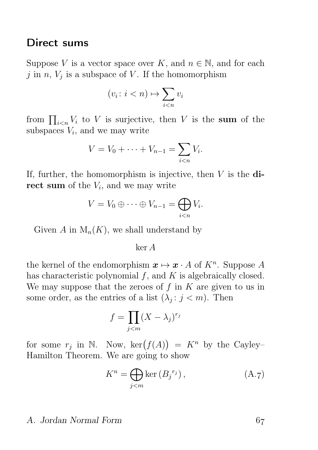#### Direct sums

Suppose V is a vector space over K, and  $n \in \mathbb{N}$ , and for each j in  $n, V_j$  is a subspace of V. If the homomorphism

$$
(v_i \colon i < n) \mapsto \sum_{i < n} v_i
$$

from  $\prod_{i\leq n} V_i$  to V is surjective, then V is the sum of the subspaces  $V_i$ , and we may write

$$
V = V_0 + \dots + V_{n-1} = \sum_{i < n} V_i.
$$

If, further, the homomorphism is injective, then  $V$  is the direct sum of the  $V_i$ , and we may write

$$
V = V_0 \oplus \cdots \oplus V_{n-1} = \bigoplus_{i < n} V_i.
$$

Given A in  $M_n(K)$ , we shall understand by

ker A

the kernel of the endomorphism  $x \mapsto x \cdot A$  of  $K<sup>n</sup>$ . Suppose A has characteristic polynomial  $f$ , and  $K$  is algebraically closed. We may suppose that the zeroes of  $f$  in  $K$  are given to us in some order, as the entries of a list  $(\lambda_j : j < m)$ . Then

$$
f = \prod_{j < m} (X - \lambda_j)^{r_j}
$$

for some  $r_j$  in N. Now,  $\ker(f(A)) = K^n$  by the Cayley-Hamilton Theorem. We are going to show

$$
K^{n} = \bigoplus_{j < m} \ker\left(B_{j}^{r_{j}}\right),\tag{A.7}
$$

#### A. Jordan Normal Form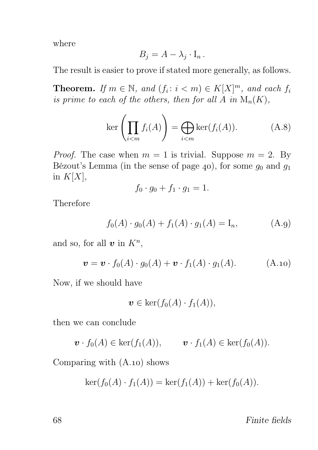where

$$
B_j = A - \lambda_j \cdot I_n.
$$

The result is easier to prove if stated more generally, as follows.

**Theorem.** If  $m \in \mathbb{N}$ , and  $(f_i : i < m) \in K[X]^m$ , and each  $f_i$ is prime to each of the others, then for all A in  $\mathcal{M}_n(K)$ ,

$$
\ker\left(\prod_{i
$$

*Proof.* The case when  $m = 1$  is trivial. Suppose  $m = 2$ . By Bézout's Lemma (in the sense of page 40), for some  $g_0$  and  $g_1$ in  $K[X],$ 

$$
f_0 \cdot g_0 + f_1 \cdot g_1 = 1.
$$

Therefore

$$
f_0(A) \cdot g_0(A) + f_1(A) \cdot g_1(A) = I_n, \tag{A.9}
$$

and so, for all  $v$  in  $K<sup>n</sup>$ ,

$$
\mathbf{v} = \mathbf{v} \cdot f_0(A) \cdot g_0(A) + \mathbf{v} \cdot f_1(A) \cdot g_1(A). \tag{A.10}
$$

Now, if we should have

$$
\boldsymbol{v} \in \ker(f_0(A) \cdot f_1(A)),
$$

then we can conclude

$$
\boldsymbol{v} \cdot f_0(A) \in \ker(f_1(A)), \qquad \boldsymbol{v} \cdot f_1(A) \in \ker(f_0(A)).
$$

Comparing with  $(A.10)$  shows

$$
\ker(f_0(A) \cdot f_1(A)) = \ker(f_1(A)) + \ker(f_0(A)).
$$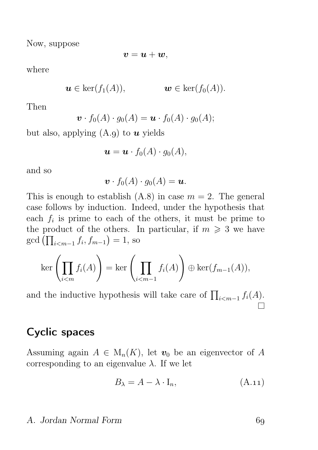Now, suppose

$$
\boldsymbol{v}=\boldsymbol{u}+\boldsymbol{w},
$$

where

$$
\mathbf{u} \in \ker(f_1(A)), \qquad \qquad \mathbf{w} \in \ker(f_0(A)).
$$

Then

$$
\boldsymbol{v} \cdot f_0(A) \cdot g_0(A) = \boldsymbol{u} \cdot f_0(A) \cdot g_0(A);
$$

but also, applying  $(A.g)$  to  $u$  yields

$$
\boldsymbol{u} = \boldsymbol{u} \cdot f_0(A) \cdot g_0(A),
$$

and so

$$
\boldsymbol{v} \cdot f_0(A) \cdot g_0(A) = \boldsymbol{u}.
$$

This is enough to establish  $(A.8)$  in case  $m = 2$ . The general case follows by induction. Indeed, under the hypothesis that each  $f_i$  is prime to each of the others, it must be prime to the product of the others. In particular, if  $m \geq 3$  we have gcd  $(\prod_{i < m-1} f_i, f_{m-1}) = 1$ , so

$$
\ker\left(\prod_{i
$$

and the inductive hypothesis will take care of  $\prod_{i \leq m-1} f_i(A)$ .

## Cyclic spaces

Assuming again  $A \in M_n(K)$ , let  $v_0$  be an eigenvector of A corresponding to an eigenvalue  $\lambda$ . If we let

$$
B_{\lambda} = A - \lambda \cdot I_n, \tag{A.11}
$$

#### A. Jordan Normal Form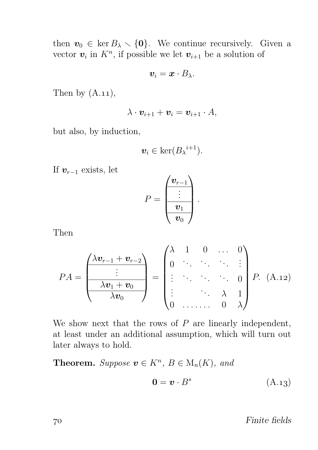then  $v_0 \in \text{ker } B_\lambda \setminus \{0\}$ . We continue recursively. Given a vector  $v_i$  in  $K^n$ , if possible we let  $v_{i+1}$  be a solution of

$$
\boldsymbol{v}_i = \boldsymbol{x} \cdot B_{\lambda}.
$$

Then by  $(A.11)$ ,

$$
\lambda \cdot \boldsymbol{v}_{i+1} + \boldsymbol{v}_i = \boldsymbol{v}_{i+1} \cdot A,
$$

but also, by induction,

$$
\boldsymbol{v}_i \in \ker(B_{\lambda}^{i+1}).
$$

If  $v_{r-1}$  exists, let

$$
P = \frac{\begin{pmatrix} \boldsymbol{v}_{r-1} \\ \vdots \\ \hline \boldsymbol{v}_1 \\ \hline \boldsymbol{v}_0 \end{pmatrix}}.
$$

Then

$$
PA = \frac{\begin{pmatrix} \lambda v_{r-1} + v_{r-2} \\ \vdots \\ \hline \lambda v_1 + v_0 \\ \hline \lambda v_0 \end{pmatrix}}{\begin{pmatrix} \lambda & 1 & 0 & \dots & 0 \\ 0 & \ddots & \ddots & \ddots & \vdots \\ \vdots & \ddots & \ddots & 0 \\ 0 & \dots & \lambda & 1 \\ 0 & \dots & 0 & \lambda \end{pmatrix} P. (A.12)
$$

We show next that the rows of  $P$  are linearly independent, at least under an additional assumption, which will turn out later always to hold.

**Theorem.** Suppose  $\mathbf{v} \in K^n$ ,  $B \in M_n(K)$ , and

$$
\mathbf{0} = \mathbf{v} \cdot B^s \tag{A.13}
$$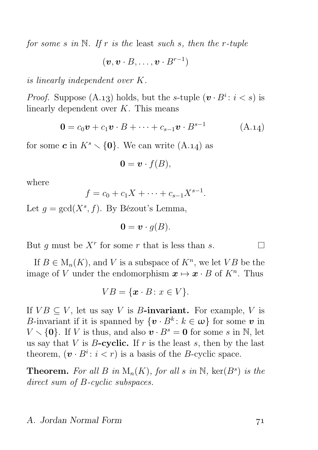for some s in  $N$ . If r is the least such s, then the r-tuple

 $(\boldsymbol{v}, \boldsymbol{v} \cdot B, \dots, \boldsymbol{v} \cdot B^{r-1})$ 

is linearly independent over K.

*Proof.* Suppose (A.13) holds, but the s-tuple  $(v \cdot B^i : i < s)$  is linearly dependent over K. This means

$$
\mathbf{0} = c_0 \mathbf{v} + c_1 \mathbf{v} \cdot B + \dots + c_{s-1} \mathbf{v} \cdot B^{s-1} \tag{A.14}
$$

for some **c** in  $K^s \setminus \{0\}$ . We can write (A.14) as

$$
\mathbf{0} = \mathbf{v} \cdot f(B),
$$

where

$$
f = c_0 + c_1 X + \dots + c_{s-1} X^{s-1}.
$$

Let  $g = \gcd(X^s, f)$ . By Bézout's Lemma,

$$
\mathbf{0} = \mathbf{v} \cdot g(B).
$$

But g must be  $X^r$  for some r that is less than s.

If  $B \in M_n(K)$ , and V is a subspace of  $K^n$ , we let VB be the image of V under the endomorphism  $\mathbf{x} \mapsto \mathbf{x} \cdot B$  of  $K^n$ . Thus

$$
VB = \{ \mathbf{x} \cdot B : x \in V \}.
$$

If  $VB \subseteq V$ , let us say V is B-invariant. For example, V is B-invariant if it is spanned by  $\{v \cdot B^k : k \in \omega\}$  for some v in  $V \setminus \{0\}$ . If V is thus, and also  $v \cdot B^s = 0$  for some s in N, let us say that V is  $B$ -cyclic. If r is the least s, then by the last theorem,  $(\mathbf{v} \cdot B^i : i < r)$  is a basis of the *B*-cyclic space.

**Theorem.** For all B in  $M_n(K)$ , for all s in N,  $\text{ker}(B^s)$  is the direct sum of B-cyclic subspaces.

#### A. Jordan Normal Form

П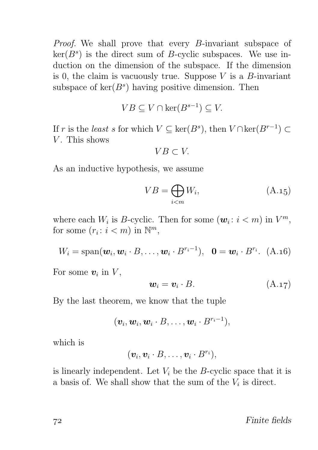Proof. We shall prove that every B-invariant subspace of  $\ker(B^s)$  is the direct sum of B-cyclic subspaces. We use induction on the dimension of the subspace. If the dimension is 0, the claim is vacuously true. Suppose  $V$  is a  $B$ -invariant subspace of  $\ker(B^s)$  having positive dimension. Then

$$
VB \subseteq V \cap \ker(B^{s-1}) \subseteq V.
$$

If r is the least s for which  $V \subseteq \text{ker}(B^s)$ , then  $V \cap \text{ker}(B^{r-1}) \subset$  $V$ . This shows

$$
VB \subset V.
$$

As an inductive hypothesis, we assume

$$
VB = \bigoplus_{i < m} W_i,\tag{A.15}
$$

where each  $W_i$  is B-cyclic. Then for some  $(\boldsymbol{w}_i : i < m)$  in  $V^m$ , for some  $(r_i: i < m)$  in  $\mathbb{N}^m$ ,

 $W_i = \text{span}(\boldsymbol{w}_i, \boldsymbol{w}_i \cdot B, \dots, \boldsymbol{w}_i \cdot B^{r_i-1}), \ \ \boldsymbol{0} = \boldsymbol{w}_i \cdot B^{r_i}. \ \ (A.16)$ 

For some  $v_i$  in  $V$ ,

$$
\mathbf{w}_i = \mathbf{v}_i \cdot B. \tag{A.17}
$$

By the last theorem, we know that the tuple

$$
(\boldsymbol{v}_i, \boldsymbol{w}_i, \boldsymbol{w}_i \cdot B, \ldots, \boldsymbol{w}_i \cdot B^{r_i-1}),
$$

which is

$$
(\boldsymbol{v}_i, \boldsymbol{v}_i \cdot B, \ldots, \boldsymbol{v}_i \cdot B^{r_i}),
$$

is linearly independent. Let  $V_i$  be the B-cyclic space that it is a basis of. We shall show that the sum of the  $V_i$  is direct.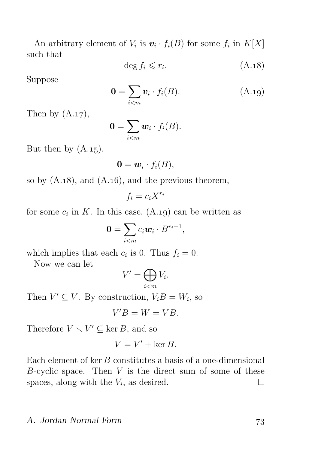An arbitrary element of  $V_i$  is  $\mathbf{v}_i \cdot f_i(B)$  for some  $f_i$  in  $K[X]$ such that

$$
\deg f_i \leqslant r_i. \tag{A.18}
$$

Suppose

$$
\mathbf{0} = \sum_{i < m} \mathbf{v}_i \cdot f_i(B). \tag{A.19}
$$

Then by  $(A.17)$ ,

$$
\mathbf{0}=\sum_{i
$$

But then by  $(A.15)$ ,

$$
\mathbf{0} = \mathbf{w}_i \cdot f_i(B),
$$

so by  $(A.18)$ , and  $(A.16)$ , and the previous theorem,

 $f_i = c_i X^{r_i}$ 

for some  $c_i$  in K. In this case,  $(A.19)$  can be written as

$$
\mathbf{0}=\sum_{i
$$

which implies that each  $c_i$  is 0. Thus  $f_i = 0$ .

Now we can let

$$
V' = \bigoplus_{i < m} V_i.
$$

Then  $V' \subseteq V$ . By construction,  $V_i B = W_i$ , so

$$
V'B = W = VB.
$$

Therefore  $V \setminus V' \subseteq \ker B$ , and so

$$
V = V' + \ker B.
$$

Each element of  $ker B$  constitutes a basis of a one-dimensional B-cyclic space. Then  $V$  is the direct sum of some of these spaces, along with the  $V_i$ , as desired.  $\Box$ 

## A. Jordan Normal Form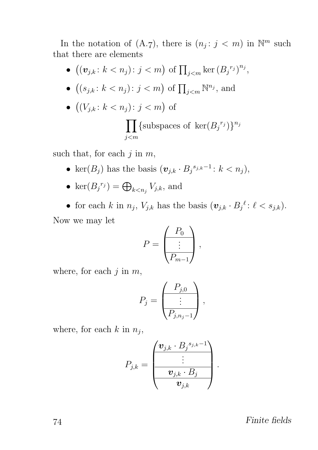In the notation of  $(A.7)$ , there is  $(n_j : j < m)$  in  $\mathbb{N}^m$  such that there are elements

•  $((v_{j,k}: k < n_j): j < m)$  of  $\prod_{j < m} \ker (B_j^{r_j})^{n_j}$ , •  $((s_{j,k}: k < n_j): j < m)$  of  $\prod_{j < m} \mathbb{N}^{n_j}$ , and •  $((V_{j,k}: k < n_j): j < m)$  of  $\prod$ {subspaces of ker $(B_j^{r_j})\}^{n_j}$ j<m

such that, for each  $j$  in  $m$ ,

- ker $(B_j)$  has the basis  $(\boldsymbol{v}_{j,k} \cdot B_j^{s_{j,k}-1} : k < n_j),$
- ker $(B_j^{r_j}) = \bigoplus_{k \leq n_j} V_{j,k}$ , and

• for each k in  $n_j$ ,  $V_{j,k}$  has the basis  $(\boldsymbol{v}_{j,k} \cdot B_j^{\ell} : \ell < s_{j,k}).$ Now we may let

$$
P = \left(\begin{array}{c} P_0 \\ \vdots \\ P_{m-1} \end{array}\right),
$$

where, for each  $j$  in  $m$ ,

$$
P_j = \frac{\begin{pmatrix} P_{j,0} \\ \vdots \\ P_{j,n_j-1} \end{pmatrix},
$$

where, for each  $k$  in  $n_j$ ,

$$
P_{j,k} = \frac{\begin{pmatrix} \boldsymbol{v}_{j,k} \cdot B_j{}^{s_{j,k}-1} \\ \vdots \\ \hline v_{j,k} \cdot B_j \end{pmatrix}}{\begin{pmatrix} \boldsymbol{v}_{j,k} \cdot B_j \\ \hline v_{j,k} \end{pmatrix}}.
$$

Finite fields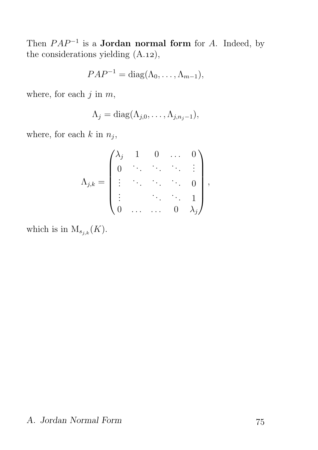Then  $PAP^{-1}$  is a **Jordan normal form** for A. Indeed, by the considerations yielding  $(A.12),$ 

$$
PAP^{-1} = \text{diag}(\Lambda_0, \ldots, \Lambda_{m-1}),
$$

where, for each  $j$  in  $m$ ,

$$
\Lambda_j = \mathrm{diag}(\Lambda_{j,0},\ldots,\Lambda_{j,n_j-1}),
$$

where, for each  $k$  in  $n_j$ ,

$$
\Lambda_{j,k} = \begin{pmatrix} \lambda_j & 1 & 0 & \dots & 0 \\ 0 & \ddots & \ddots & \ddots & \vdots \\ \vdots & \ddots & \ddots & \ddots & 0 \\ 0 & \dots & \dots & 0 & \lambda_j \end{pmatrix},
$$

which is in  $M_{s_{j,k}}(K)$ .